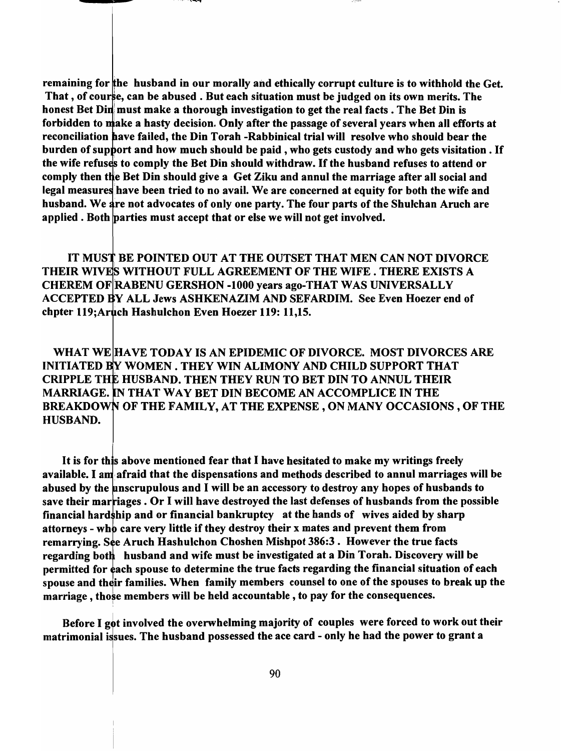remaining for the husband in our morally and ethically corrupt culture is to withhold the Get. That, of course, can be abused. But each situation must be judged on its own merits. The honest Bet Din must make a thorough investigation to get the real facts. The Bet Din is forbidden to make a hasty decision. Only after the passage of several years when all efforts at reconciliation have failed, the Din Torah -Rabbinical trial will resolve who should bear the burden of support and how much should be paid, who gets custody and who gets visitation. If the wife refuses to comply the Bet Din should withdraw. If the husband refuses to attend or comply then the Bet Din should give a Get Ziku and annul the marriage after all social and legal measures have been tried to no avail. We are concerned at equity for both the wife and husband. We are not advocates of only one party. The four parts of the Shulchan Aruch are applied. Both parties must accept that or else we will not get involved.

IT MUST BE POINTED OUT AT THE OUTSET THAT MEN CAN NOT DIVORCE THEIR WIVES WITHOUT FULL AGREEMENT OF THE WIFE. THERE EXISTS A CHEREM OF RABENU GERSHON -1000 years ago-THAT WAS UNIVERSALLY ACCEPTED BY ALL Jews ASHKENAZIM AND SEFARDIM. See Even Hoezer end of chpter 119: Aruch Hashulchon Even Hoezer 119: 11,15.

WHAT WE HAVE TODAY IS AN EPIDEMIC OF DIVORCE. MOST DIVORCES ARE INITIATED BY WOMEN. THEY WIN ALIMONY AND CHILD SUPPORT THAT CRIPPLE THE HUSBAND. THEN THEY RUN TO BET DIN TO ANNUL THEIR MARRIAGE. THAT WAY BET DIN BECOME AN ACCOMPLICE IN THE BREAKDOWN OF THE FAMILY, AT THE EXPENSE, ON MANY OCCASIONS, OF THE HUSBAND.

It is for this above mentioned fear that I have hesitated to make my writings freely available. I am afraid that the dispensations and methods described to annul marriages will be abused by the unscrupulous and I will be an accessory to destroy any hopes of husbands to save their marriages . Or I will have destroyed the last defenses of husbands from the possible financial hard  $\frac{1}{2}$ hip and or financial bankruptcy at the hands of wives aided by sharp attorneys - who care very little if they destroy their x mates and prevent them from remarrying. See Aruch Hashulchon Choshen Mishpot 386:3. However the true facts regarding both husband and wife must be investigated at a Din Torah. Discovery will be permitted for each spouse to determine the true facts regarding the financial situation of each spouse and their families. When family members counsel to one of the spouses to break up the marriage, those members will be held accountable, to pay for the consequences.

Before I got involved the overwhelming majority of couples were forced to work out their matrimonial issues. The husband possessed the ace card - only he had the power to grant a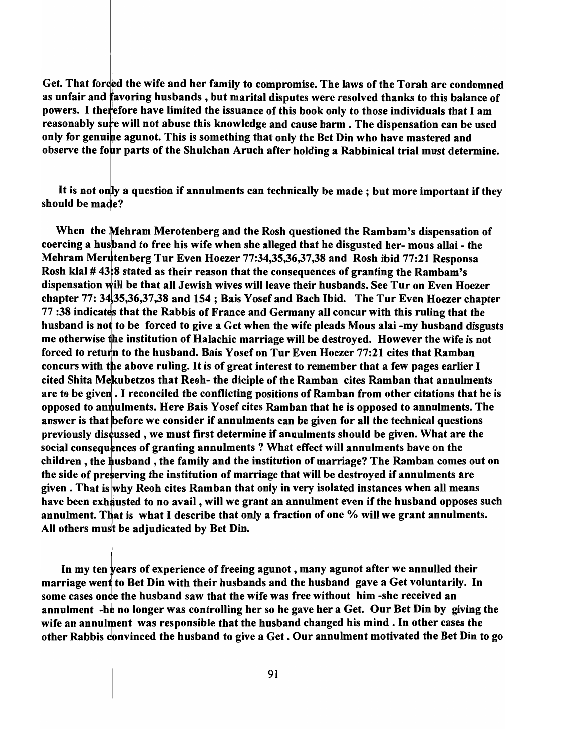Get. That forced the wife and her family to compromise. The laws of the Torah are condemned as unfair and favoring husbands, but marital disputes were resolved thanks to this balance of powers. I therefore have limited the issuance of this book only to those individuals that I am reasonably sure will not abuse this knowledge and cause harm. The dispensation can be used only for genuine agunot. This is something that only the Bet Din who have mastered and observe the four parts of the Shulchan Aruch after holding a Rabbinical trial must determine.

It is not only a question if annulments can technically be made; but more important if they should be made?

When the Mehram Merotenberg and the Rosh questioned the Rambam's dispensation of coercing a husband to free his wife when she alleged that he disgusted her- mous allai - the Mehram Merutenberg Tur Even Hoezer 77:34,35,36,37,38 and Rosh ibid 77:21 Responsa Rosh klal  $# 43.8$  stated as their reason that the consequences of granting the Rambam's dispensation will be that all Jewish wives will leave their husbands. See Tur on Even Hoezer chapter 77: 34,35,36,37,38 and 154; Bais Yosef and Bach Ibid. The Tur Even Hoezer chapter 77:38 indicates that the Rabbis of France and Germany all concur with this ruling that the husband is not to be forced to give a Get when the wife pleads Mous alai -my husband disgusts me otherwise he institution of Halachic marriage will be destroyed. However the wife is not forced to return to the husband. Bais Yosef on Tur Even Hoezer  $77:21$  cites that Ramban concurs with the above ruling. It is of great interest to remember that a few pages earlier I cited Shita Mekubetzos that Reoh- the diciple of the Ramban cites Ramban that annulments are to be given. I reconciled the conflicting positions of Ramban from other citations that he is opposed to annulments. Here Bais Yosef cites Ramban that he is opposed to annulments. The answer is that before we consider if annulments can be given for all the technical questions previously discussed, we must first determine if annulments should be given. What are the social consequences of granting annulments? What effect will annulments have on the children, the husband, the family and the institution of marriage? The Ramban comes out on the side of preserving the institution of marriage that will be destroyed if annulments are given. That is why Reoh cites Ramban that only in very isolated instances when all means have been exhausted to no avail, will we grant an annulment even if the husband opposes such annulment. That is what I describe that only a fraction of one % will we grant annulments. All others must be adjudicated by Bet Din.

In my ten years of experience of freeing agunot, many agunot after we annulled their marriage went to Bet Din with their husbands and the husband gave a Get voluntarily. In some cases on ce the husband saw that the wife was free without him -she received an annulment -he no longer was controlling her so he gave her a Get. Our Bet Din by giving the wife an annulment was responsible that the husband changed his mind. In other cases the other Rabbis convinced the husband to give a Get. Our annulment motivated the Bet Din to go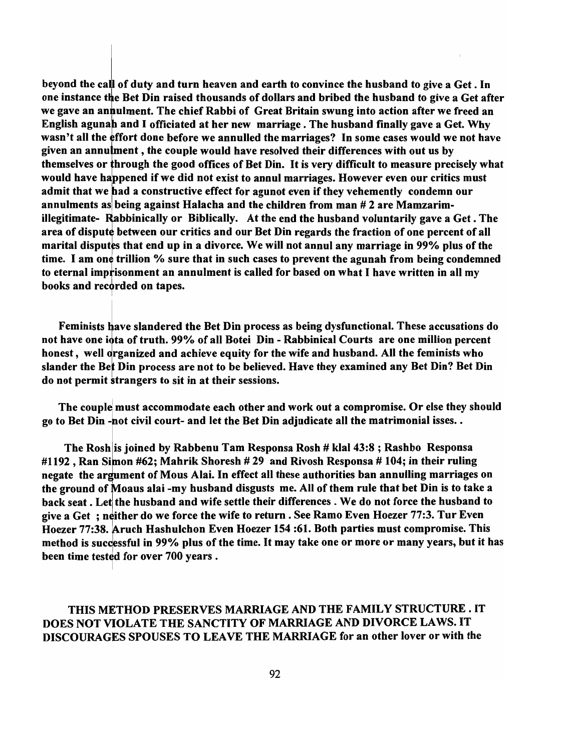beyond the call of duty and turn heaven and earth to convince the husband to give a Get. In one instance the Bet Din raised thousands of dollars and bribed the husband to give a Get after we gave an annulment. The chief Rabbi of Great Britain swung into action after we freed an English agunah and I officiated at her new marriage. The husband finally gave a Get. Why wasn't all the effort done before we annulled the marriages? In some cases would we not have given an annulment, the couple would have resolved their differences with out us by themselves or hrough the good offices of Bet Din. It is very difficult to measure precisely what would have happened if we did not exist to annul marriages. However even our critics must admit that we bad a constructive effect for agunot even if they vehemently condemn our annulments as being against Halacha and the children from man # 2 are Mamzarimillegitimate- Rabbinically or Biblically. At the end the husband voluntarily gave a Get. The area of dispute between our critics and our Bet Din regards the fraction of one percent of all marital disputes that end up in a divorce. We will not annul any marriage in 99% plus of the time. I am one trillion % sure that in such cases to prevent the agunah from being condemned to eternal imprisonment an annulment is called for based on what I have written in all my books and recorded on tapes.

Feminists have slandered the Bet Din process as being dysfunctional. These accusations do not have one iota of truth. 99% of all Botei Din - Rabbinical Courts are one million percent honest, well organized and achieve equity for the wife and husband. All the feminists who slander the Bet Din process are not to be believed. Have they examined any Bet Din? Bet Din do not permit strangers to sit in at their sessions.

I

The couple must accommodate each other and work out a compromise. Or else they should go to Bet Din -not civil court- and let the Bet Din adjudicate all the matrimonial isses..

The Rosh is joined by Rabbenu Tam Responsa Rosh # klal 43:8 ; Rashbo Responsa #1192, Ran Simon #62; Mahrik Shoresh # 29 and Rivosh Responsa # 104; in their ruling negate the argument of Mous Alai. In effect all these authorities ban annulling marriages on the ground of Moaus alai -my husband disgusts me. All of them rule that bet Din is to take a back seat. Let the husband and wife settle their differences. We do not force the husband to give a Get; neither do we force the wife to return. See Ramo Even Hoezer 77:3. Tur Even Hoezer 77:38. Aruch Hashulchon Even Hoezer 154 :61. Both parties must compromise. This method is successful in 99% plus of the time. It may take one or more or many years, but it has been time tested for over 700 years.

### THIS METHOD PRESERVES MARRIAGE AND THE FAMILY STRUCTURE. IT DOES NOT VIOLATE THE SANCTITY OF MARRIAGE AND DIVORCE LAWS. IT DISCOURAGES SPOUSES TO LEAVE THE MARRIAGE for an other lover or with the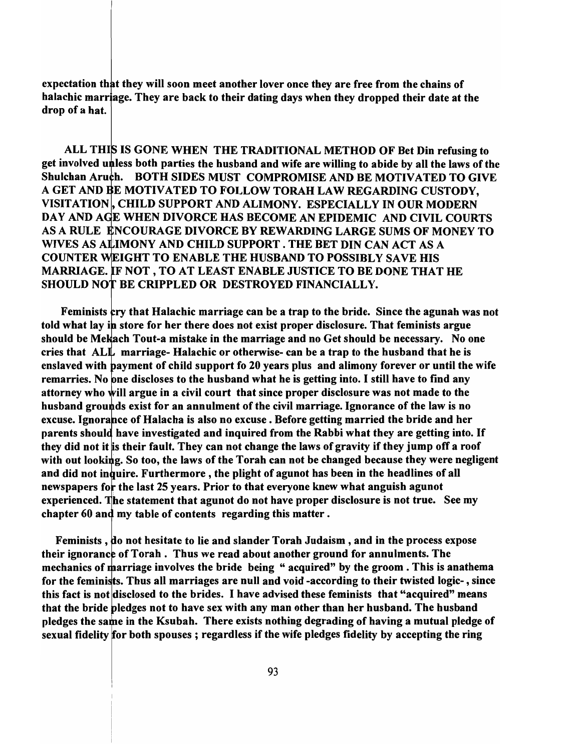expectation that they will soon meet another lover once they are free from the chains of halachic marriage. They are back to their dating days when they dropped their date at the drop of a hat.

ALL THIS IS GONE WHEN THE TRADITIONAL METHOD OF Bet Din refusing to get involved unless both parties the husband and wife are willing to abide by all the laws of the Shulchan Aruch. BOTH SIDES MUST COMPROMISE AND BE MOTIVATED TO GIVE A GET AND BE MOTIVATED TO FOLLOW TORAH LAW REGARDING CUSTODY, VISITATION, CHILD SUPPORT AND ALIMONY. ESPECIALLY IN OUR MODERN DAY AND AGE WHEN DIVORCE HAS BECOME AN EPIDEMIC AND CIVIL COURTS AS A RULE ENCOURAGE DIVORCE BY REWARDING LARGE SUMS OF MONEY TO WIVES AS ALIMONY AND CHILD SUPPORT. THE BET DIN CAN ACT AS A COUNTER WEIGHT TO ENABLE THE HUSBAND TO POSSIBLY SAVE HIS MARRIAGE. IF NOT, TO AT LEAST ENABLE JUSTICE TO BE DONE THAT HE SHOULD NOT BE CRIPPLED OR DESTROYED FINANCIALLY.

Feminists cry that Halachic marriage can be a trap to the bride. Since the agunah was not told what lay in store for her there does not exist proper disclosure. That feminists argue should be Mekach Tout-a mistake in the marriage and no Get should be necessary. No one cries that  $ALL$  marriage- Halachic or otherwise- can be a trap to the husband that he is enslaved with payment of child support fo 20 years plus and alimony forever or until the wife remarries. No one discloses to the husband what he is getting into. I still have to find any attorney who will argue in a civil court that since proper disclosure was not made to the husband grounds exist for an annulment of the civil marriage. Ignorance of the law is no excuse. Ignorance of Halacha is also no excuse. Before getting married the bride and her parents should have investigated and inquired from the Rabbi what they are getting into. If they did not it is their fault. They can not change the laws of gravity if they jump off a roof with out looking. So too, the laws of the Torah can not be changed because they were negligent and did not inquire. Furthermore, the plight of agunot has been in the headlines of all newspapers for the last 25 years. Prior to that everyone knew what anguish agunot experienced. The statement that agunot do not have proper disclosure is not true. See my chapter  $60$  and my table of contents regarding this matter.

Feminists, do not hesitate to lie and slander Torah Judaism, and in the process expose their ignorance of Torah. Thus we read about another ground for annulments. The mechanics of marriage involves the bride being "acquired" by the groom. This is anathema for the feminists. Thus all marriages are null and void -according to their twisted logic-, since this fact is not disclosed to the brides. I have advised these feminists that "acquired" means that the bride pledges not to have sex with any man other than her husband. The husband pledges the same in the Ksubah. There exists nothing degrading of having a mutual pledge of sexual fidelity for both spouses; regardless if the wife pledges fidelity by accepting the ring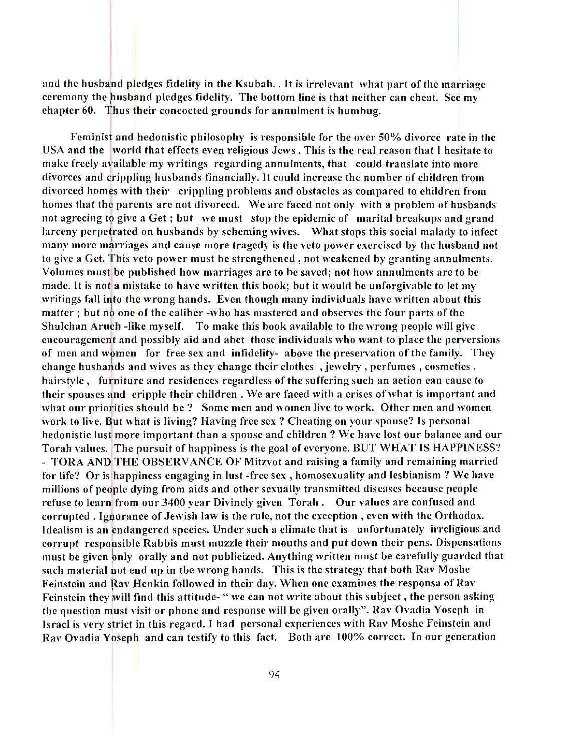and the husband pledges fidelity in the Ksubah. . It is irrelevant what part of the marriage ceremony the husband pledges fidelity. The bottom line is that neither can cheat. See my chapter  $60$ . Thus their concocted grounds for annulment is humbug.

Feminist and hedonistic philosophy is responsible for the over  $50\%$  divorce rate in the USA and the world that effects even religious Jews. This is the real reason that I hesitate to make freely available my writings regarding annulments, that could translate into more divorces and crippling husbands financially. It could increase the number of children from divorced homks with their crippling problems and obstacles as compared to children from homes that the parents are not divorced. We are faced not only with a problem of husbands not agreeing to give a Get; but we must stop the epidemic of marital breakups and grand larceny perpetrated on husbands by scheming wives. What stops this social malady to infect many more marriages and cause more tragedy is the veto power exercised by the hus band not to give a Get. This veto power must be strengthened, not weakened by granting annulments. Volumes must be published how marriages are to be saved; not how annulments are to be made. It is not a mistake to have written this book; but it would be unforgivable to let my writings fall into the wrong hands. Even though many individuals have written about this matter; but no one of the caliber -who has mastered and observes the four parts of the Shulchan Aruch -like myself. To make this book available to the wrong people will give encouragement and possibly aid and abet those individuals who want to place the perversions of men and women for free sex and infidelity- above the preservation of the family. They change husbands and wives as they change their clothes, jewelry, perfumes, cosmetics, hairstyle, furniture and residences regardless of the suffering such an action can cause to their spouses and cripple their children. We are faced with a crises of what is important and what our priorities should be ? Some men and women live to work. Other men and women work to live. But what is living? Having free sex? Cheating on your spouse? Is personal hedonistic lust more important than a spouse and children? We have lost our balance and our Torah values. The pursuit of happiness is the goal of everyone. BUT WHAT IS HAPPINESS"! - TORA AND THE OBSERVANCE OF Mitzvot and raising a family and remaining married for life? Or is happiness engaging in lust -free sex, homosexuality and lesbianism ? We have millions of people dying from aids and other sexually transmitted diseases because people refuse to learn from our 3400 year Divinely given Torah. Our values are confused and corrupted. Ignorance of Jewish law is the rule, not the exception, even with the Orthodox. Idealism is an endangered species. Under such a climate that is unfortunately irreligious and corrupt responsible Rabbis must muzzle their mouths and put down their pens. Dispensations must be given only orally and not publicized. Anything written must be carefully guarded that such material not end up in the wrong hands. This is the strategy that both Rav Moshe Feinstein and Ray Henkin followed in their day. When one examines the responsa of Rav Feinstein they will find this attitude- " we can not write about this subject, the person asking the question must visit or phone and response will be given orally". Rav Ovadia Yoseph in Israel is very strict in this regard. I had personal experiences with Rav Moshe Feinstein and Rav Ovadia Yoseph and can testify to this fact. Both are 100% correct. In our generation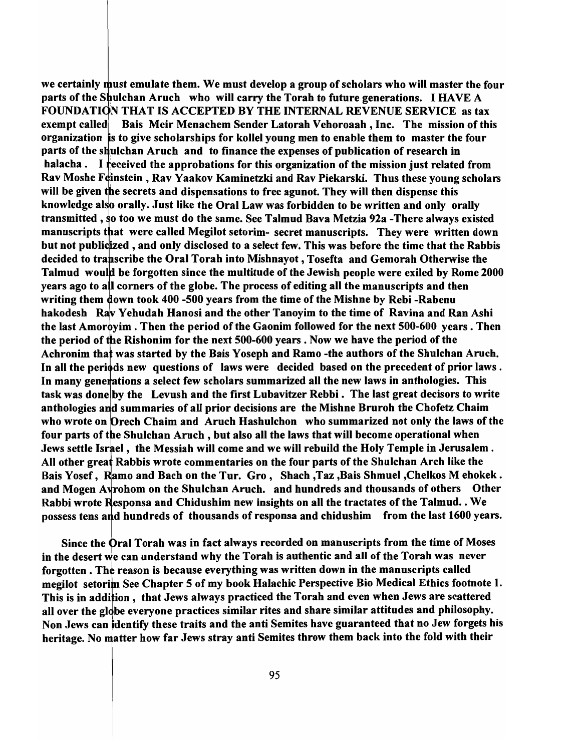we certainly must emulate them. We must develop a group of scholars who will master the four parts of the Shulchan Aruch who will carry the Torah to future generations. I HAVE A FOUNDATION THAT IS ACCEPTED BY THE INTERNAL REVENUE SERVICE as tax exempt called **Bais Meir Menachem Sender Latorah Vehoroaah**, Inc. The mission of this organization's to give scholarships for kollel young men to enable them to master the four parts of the shulchan Aruch and to finance the expenses of publication of research in halacha. I received the approbations for this organization of the mission just related from Rav Moshe Feinstein, Rav Yaakov Kaminetzki and Rav Piekarski. Thus these young scholars will be given the secrets and dispensations to free agunot. They will then dispense this knowledge also orally. Just like the Oral Law was forbidden to be written and only orally transmitted, so too we must do the same. See Talmud Bava Metzia 92a -There always existed manuscripts that were called Megilot setorim- secret manuscripts. They were written down but not publicized, and only disclosed to a select few. This was before the time that the Rabbis decided to transcribe the Oral Torah into Mishnayot, Tosefta and Gemorah Otherwise the Talmud would be forgotten since the multitude of the Jewish people were exiled by Rome 2000 years ago to all corners of the globe. The process of editing all the manuscripts and then writing them down took 400 -500 years from the time of the Mishne by Rebi -Rabenu hakodesh Rav Yehudah Hanosi and the other Tanoyim to the time of Ravina and Ran Ashi the last Amoroyim. Then the period of the Gaonim followed for the next  $500-600$  years. Then the period of the Rishonim for the next 500-600 years. Now we have the period of the Achronim that was started by the Bais Yoseph and Ramo -the authors of the Shulchan Aruch. In all the periods new questions of laws were decided based on the precedent of prior laws. In many generations a select few scholars summarized all the new laws in anthologies. This task was done by the Levush and the first Lubavitzer Rebbi. The last great decisors to write anthologies and summaries of all prior decisions are the Mishne Bruroh the Chofetz Chaim who wrote on Drech Chaim and Aruch Hashulchon who summarized not only the laws of the four parts of the Shulchan Aruch, but also all the laws that will become operational when Jews settle Israel, the Messiah will come and we will rebuild the Holy Temple in Jerusalem. All other great Rabbis wrote commentaries on the four parts of the Shulchan Arch like the Bais Yosef, Ramo and Bach on the Tur. Gro, Shach, Taz, Bais Shmuel, Chelkos M ehokek. and Mogen A rohom on the Shulchan Aruch. and hundreds and thousands of others Other Rabbi wrote Responsa and Chidushim new insights on all the tractates of the Talmud. . We possess tens a d hundreds of thousands of responsa and chidushim from the last 1600 years.

Since the Oral Torah was in fact always recorded on manuscripts from the time of Moses in the desert we can understand why the Torah is authentic and all of the Torah was never forgotten. The reason is because everything was written down in the manuscripts called megilot setorim See Chapter 5 of my book Halachic Perspective Bio Medical Ethics footnote 1. This is in addition, that Jews always practiced the Torah and even when Jews are scattered all over the globe everyone practices similar rites and share similar attitudes and philosophy. Non Jews can identify these traits and the anti Semites have guaranteed that no Jew forgets his heritage. No matter how far Jews stray anti Semites throw them back into the fold with their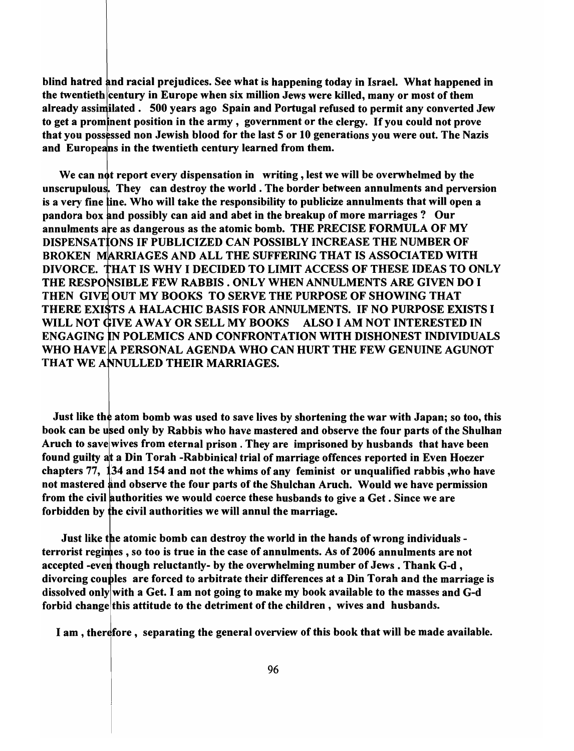blind hatred and racial prejudices. See what is happening today in Israel. What happened in the twentieth century in Europe when six million Jews were killed, many or most of them already assimilated. 500 years ago Spain and Portugal refused to permit any converted Jew to get a prominent position in the army, government or the clergy. If you could not prove that you possessed non Jewish blood for the last 5 or 10 generations you were out. The Nazis and Europeans in the twentieth century learned from them.

We can not report every dispensation in writing, lest we will be overwhelmed by the unscrupulous. They can destroy the world. The border between annulments and perversion is a very fine line. Who will take the responsibility to publicize annulments that will open a pandora box nd possibly can aid and abet in the breakup of more marriages? Our annulments are as dangerous as the atomic bomb. THE PRECISE FORMULA OF MY DISPENSA TONS IF PUBLICIZED CAN POSSIBLY INCREASE THE NUMBER OF BROKEN MARRIAGES AND ALL THE SUFFERING THAT IS ASSOCIATED WITH DIVORCE. HAT IS WHY I DECIDED TO LIMIT ACCESS OF THESE IDEAS TO ONLY THE RESPONSIBLE FEW RABBIS . ONLY WHEN ANNULMENTS ARE GIVEN DO I THEN GIVE OUT MY BOOKS TO SERVE THE PURPOSE OF SHOWING THAT THERE EXISTS A HALACHIC BASIS FOR ANNULMENTS. IF NO PURPOSE EXISTS I WILL NOT GIVE AWAY OR SELL MY BOOKS ALSO I AM NOT INTERESTED IN ENGAGING N POLEMICS AND CONFRONTATION WITH DISHONEST INDIVIDUALS WHO HAVE A PERSONAL AGENDA WHO CAN HURT THE FEW GENUINE AGUNOT THAT WE ANNULLED THEIR MARRIAGES.

Just like the atom bomb was used to save lives by shortening the war with Japan; so too, this book can be used only by Rabbis who have mastered and observe the four parts of the Shulhan Aruch to save wives from eternal prison. They are imprisoned by husbands that have been found guilty at a Din Torah -Rabbinical trial of marriage offences reported in Even Hoezer chapters  $77$ ,  $134$  and  $154$  and not the whims of any feminist or unqualified rabbis, who have not mastered and observe the four parts of the Shulchan Aruch. Would we have permission from the civil authorities we would coerce these husbands to give a Get. Since we are forbidden by the civil authorities we will annul the marriage.

Just like the atomic bomb can destroy the world in the hands of wrong individuals terrorist regimes, so too is true in the case of annulments. As of 2006 annulments are not accepted -even though reluctantly- by the overwhelming number of Jews. Thank G-d, divorcing couples are forced to arbitrate their differences at a Din Torah and the marriage is dissolved only with a Get. I am not going to make my book available to the masses and G-d forbid change this attitude to the detriment of the children, wives and husbands.

I am, therefore, separating the general overview of this book that will be made available.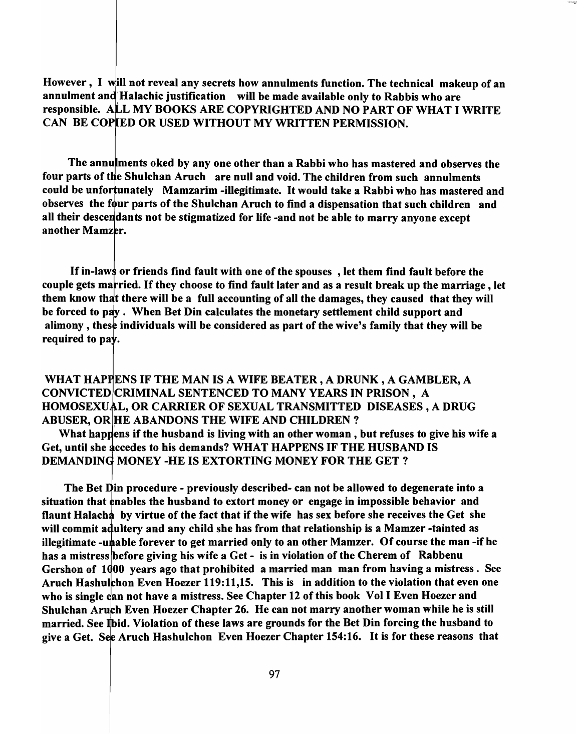However, I will not reveal any secrets how annulments function. The technical makeup of an annulment and Halachic justification will be made available only to Rabbis who are responsible. ALL MY BOOKS ARE COPYRIGHTED AND NO PART OF WHAT I WRITE CAN BE COPIED OR USED WITHOUT MY WRITTEN PERMISSION.

The annulments oked by any one other than a Rabbi who has mastered and observes the four parts of the Shulchan Aruch are null and void. The children from such annulments could be unfortunately Mamzarim -illegitimate. It would take a Rabbi who has mastered and observes the four parts of the Shulchan Aruch to find a dispensation that such children and all their descendants not be stigmatized for life -and not be able to marry anyone except another Mamzer.

If in-laws or friends find fault with one of the spouses, let them find fault before the couple gets married. If they choose to find fault later and as a result break up the marriage, let them know that there will be a full accounting of all the damages, they caused that they will be forced to pay. When Bet Din calculates the monetary settlement child support and alimony, these individuals will be considered as part of the wive's family that they will be required to pay.

WHAT HAPPENS IF THE MAN IS A WIFE BEATER, A DRUNK, A GAMBLER, A CONVICTED CRIMINAL SENTENCED TO MANY YEARS IN PRISON, A HOMOSEXUAL, OR CARRIER OF SEXUAL TRANSMITTED DISEASES, A DRUG ABUSER, OR HE ABANDONS THE WIFE AND CHILDREN?

What happens if the husband is living with an other woman, but refuses to give his wife a Get, until she accedes to his demands? WHAT HAPPENS IF THE HUSBAND IS DEMANDING MONEY -HE IS EXTORTING MONEY FOR THE GET?

The Bet Din procedure - previously described- can not be allowed to degenerate into a situation that enables the husband to extort money or engage in impossible behavior and flaunt Halach by virtue of the fact that if the wife has sex before she receives the Get she will commit adultery and any child she has from that relationship is a Mamzer-tainted as illegitimate -unable forever to get married only to an other Mamzer. Of course the man -if he has a mistress before giving his wife a Get - is in violation of the Cherem of Rabbenu Gershon of 1000 years ago that prohibited a married man man from having a mistress. See Aruch Hashulchon Even Hoezer 119:11,15. This is in addition to the violation that even one who is single can not have a mistress. See Chapter 12 of this book Vol I Even Hoezer and Shulchan Aruch Even Hoezer Chapter 26. He can not marry another woman while he is still married. See Ibid. Violation of these laws are grounds for the Bet Din forcing the husband to give a Get. See Aruch Hashulchon Even Hoezer Chapter 154:16. It is for these reasons that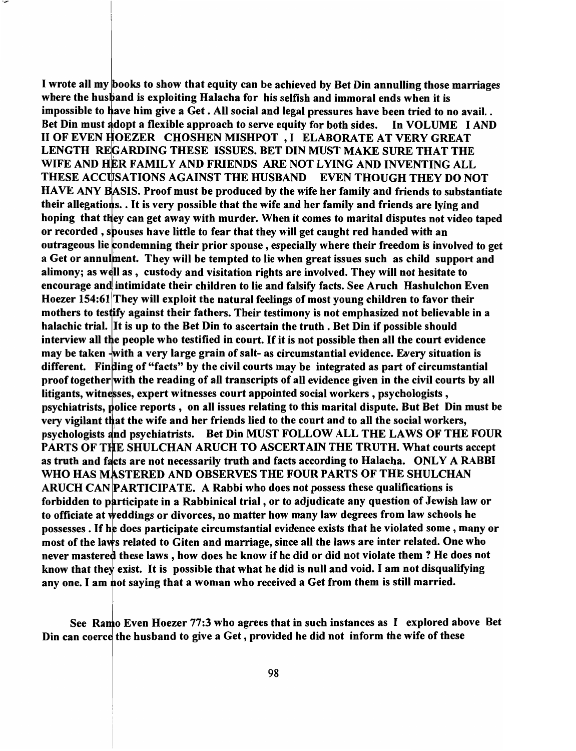I wrote all my books to show that equity can be achieved by Bet Din annulling those marriages where the husband is exploiting Halacha for his selfish and immoral ends when it is impossible to have him give a Get. All social and legal pressures have been tried to no avail.. Bet Din must adopt a flexible approach to serve equity for both sides. In VOLUME I AND II OF EVEN HOEZER CHOSHEN MISHPOT, I ELABORATE AT VERY GREAT LENGTH REGARDING THESE ISSUES. BET DIN MUST MAKE SURE THAT THE WIFE AND HER FAMILY AND FRIENDS ARE NOT LYING AND INVENTING ALL THESE ACCUSATIONS AGAINST THE HUSBAND EVEN THOUGH THEY DO NOT HAVE ANY BASIS. Proof must be produced by the wife her family and friends to substantiate their allegations. . It is very possible that the wife and her family and friends are lying and hoping that they can get away with murder. When it comes to marital disputes not video taped or recorded, spouses have little to fear that they will get caught red handed with an outrageous lie condemning their prior spouse, especially where their freedom is involved to get a Get or annulment. They will be tempted to lie when great issues such as child support and alimony; as well as, custody and visitation rights are involved. They will not hesitate to encourage and intimidate their children to lie and falsify facts. See Aruch Hashulchon Even Hoezer 154:61 They will exploit the natural feelings of most young children to favor their mothers to testify against their fathers. Their testimony is not emphasized not believable in a halachic trial. It is up to the Bet Din to ascertain the truth. Bet Din if possible should interview all the people who testified in court. If it is not possible then all the court evidence may be taken -with a very large grain of salt- as circumstantial evidence. Every situation is different. Finding of "facts" by the civil courts may be integrated as part of circumstantial proof together with the reading of all transcripts of all evidence given in the civil courts by all litigants, witnesses, expert witnesses court appointed social workers, psychologists, psychiatrists, police reports, on all issues relating to this marital dispute. But Bet Din must be very vigilant that the wife and her friends lied to the court and to all the social workers, psychologists and psychiatrists. Bet Din MUST FOLLOW ALL THE LAWS OF THE FOUR PARTS OF THE SHULCHAN ARUCH TO ASCERTAIN THE TRUTH. What courts accept as truth and facts are not necessarily truth and facts according to Halacha. ONLY A RABBI WHO HAS MASTERED AND OBSERVES THE FOUR PARTS OF THE SHULCHAN ARUCH CAN PARTICIPATE. A Rabbi who does not possess these qualifications is forbidden to participate in a Rabbinical trial, or to adjudicate any question of Jewish law or to officiate at weddings or divorces, no matter how many law degrees from law schools he possesses. If he does participate circumstantial evidence exists that he violated some, many or most of the laws related to Giten and marriage, since all the laws are inter related. One who never mastered these laws, how does he know if he did or did not violate them ? He does not know that they exist. It is possible that what he did is null and void. I am not disqualifying any one. I am not saying that a woman who received a Get from them is still married.

See Ramo Even Hoezer 77:3 who agrees that in such instances as I explored above Bet Din can coerce the husband to give a Get, provided he did not inform the wife of these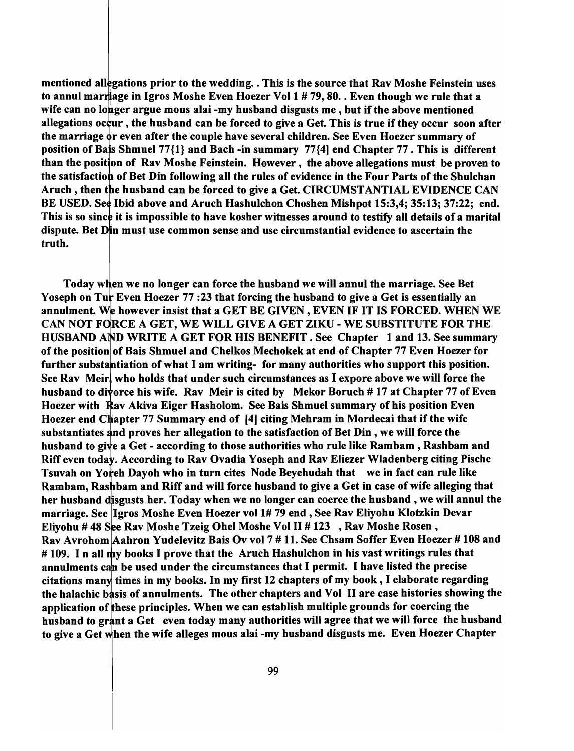mentioned allegations prior to the wedding. This is the source that Rav Moshe Feinstein uses to annul marriage in Igros Moshe Even Hoezer Vol  $1 \# 79, 80.$ . Even though we rule that a wife can no longer argue mous alai -my husband disgusts me, but if the above mentioned allegations occur, the husband can be forced to give a Get. This is true if they occur soon after the marriage  $\dot{\mathbf{\sigma}}$  even after the couple have several children. See Even Hoezer summary of position of Bais Shmuel  $77\{1\}$  and Bach -in summary  $77\{4\}$  end Chapter 77. This is different than the position of Rav Moshe Feinstein. However, the above allegations must be proven to the satisfaction of Bet Din following all the rules of evidence in the Four Parts of the Shulchan Aruch, then the husband can be forced to give a Get. CIRCUMSTANTIAL EVIDENCE CAN BE USED. See Ibid above and Aruch Hashulchon Choshen Mishpot 15:3.4: 35:13: 37:22: end. This is so since it is impossible to have kosher witnesses around to testify all details of a marital dispute. Bet Din must use common sense and use circumstantial evidence to ascertain the truth.

Today when we no longer can force the husband we will annul the marriage. See Bet Yoseph on Tur Even Hoezer 77 : 23 that forcing the husband to give a Get is essentially an annulment. We however insist that a GET BE GIVEN, EVEN IF IT IS FORCED. WHEN WE CAN NOT FORCE A GET, WE WILL GIVE A GET ZIKU - WE SUBSTITUTE FOR THE HUSBAND AND WRITE A GET FOR HIS BENEFIT. See Chapter 1 and 13. See summary of the position of Bais Shmuel and Chelkos Mechokek at end of Chapter 77 Even Hoezer for further substantiation of what I am writing- for many authorities who support this position. See Rav Meir, who holds that under such circumstances as I expore above we will force the husband to divorce his wife. Rav Meir is cited by Mekor Boruch # 17 at Chapter 77 of Even Hoezer with Rav Akiva Eiger Hasholom. See Bais Shmuel summary of his position Even Hoezer end Chapter 77 Summary end of [4] citing Mehram in Mordecai that if the wife substantiates and proves her allegation to the satisfaction of Bet Din, we will force the husband to give a Get - according to those authorities who rule like Rambam, Rashbam and Riff even today. According to Rav Ovadia Yoseph and Rav Eliezer Wladenberg citing Pische Tsuvah on Yoreh Dayoh who in turn cites Node Beyehudah that we in fact can rule like Rambam, Rashbam and Riff and will force husband to give a Get in case of wife alleging that her husband disgusts her. Today when we no longer can coerce the husband, we will annul the marriage. See Igros Moshe Even Hoezer vol 1# 79 end, See Rav Eliyohu Klotzkin Devar Eliyohu # 48 See Rav Moshe Tzeig Ohel Moshe Vol II # 123 , Rav Moshe Rosen, Rav Avrohom Aahron Yudelevitz Bais Ov vol 7 # 11. See Chsam Soffer Even Hoezer # 108 and # 109. In all my books I prove that the Aruch Hashulchon in his vast writings rules that annulments can be used under the circumstances that I permit. I have listed the precise citations many times in my books. In my first 12 chapters of my book, I elaborate regarding the halachic basis of annulments. The other chapters and Vol II are case histories showing the application of these principles. When we can establish multiple grounds for coercing the husband to grant a Get even today many authorities will agree that we will force the husband to give a Get when the wife alleges mous alai -my husband disgusts me. Even Hoezer Chapter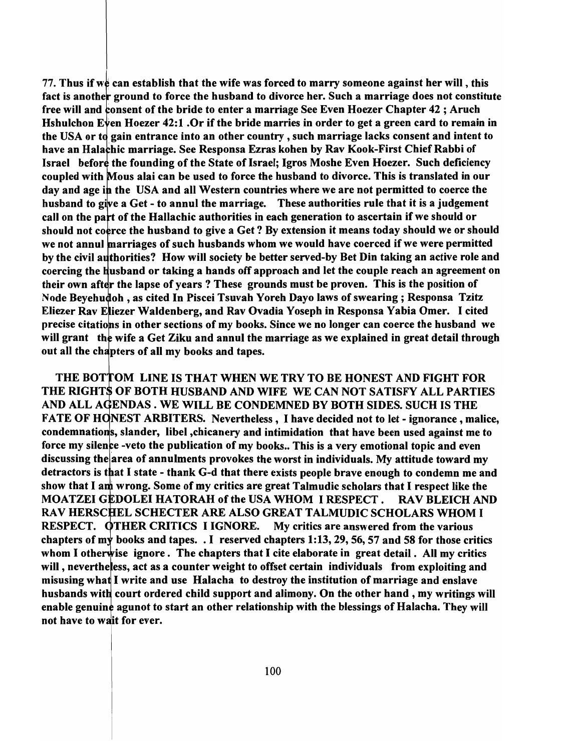77. Thus if we can establish that the wife was forced to marry someone against her will, this fact is another ground to force the husband to divorce her. Such a marriage does not constitute free will and consent of the bride to enter a marriage See Even Hoezer Chapter 42; Aruch Hshulchon Even Hoezer 42:1 .Or if the bride marries in order to get a green card to remain in the USA or to gain entrance into an other country, such marriage lacks consent and intent to have an Halachic marriage. See Responsa Ezras kohen by Rav Kook-First Chief Rabbi of Israel before the founding of the State of Israel; Igros Moshe Even Hoezer. Such deficiency coupled with Mous alai can be used to force the husband to divorce. This is translated in our day and age in the USA and all Western countries where we are not permitted to coerce the husband to give a Get - to annul the marriage. These authorities rule that it is a judgement call on the part of the Hallachic authorities in each generation to ascertain if we should or should not coerce the husband to give a Get? By extension it means today should we or should we not annul marriages of such husbands whom we would have coerced if we were permitted by the civil authorities? How will society be better served-by Bet Din taking an active role and coercing the husband or taking a hands off approach and let the couple reach an agreement on their own after the lapse of years? These grounds must be proven. This is the position of Node Beyehudoh, as cited In Piscei Tsuvah Yoreh Dayo laws of swearing; Responsa Tzitz Eliezer Rav Eliezer Waldenberg, and Rav Ovadia Yoseph in Responsa Yabia Omer. I cited precise citations in other sections of my books. Since we no longer can coerce the husband we will grant the wife a Get Ziku and annul the marriage as we explained in great detail through out all the chapters of all my books and tapes.

THE BOTTOM LINE IS THAT WHEN WE TRY TO BE HONEST AND FIGHT FOR THE RIGHTS OF BOTH HUSBAND AND WIFE WE CAN NOT SATISFY ALL PARTIES AND ALL AGENDAS. WE WILL BE CONDEMNED BY BOTH SIDES. SUCH IS THE FATE OF HONEST ARBITERS. Nevertheless, I have decided not to let - ignorance, malice, condemnations, slander, libel ,chicanery and intimidation that have been used against me to force my silence -veto the publication of my books.. This is a very emotional topic and even discussing the area of annulments provokes the worst in individuals. My attitude toward my detractors is that I state - thank G-d that there exists people brave enough to condemn me and show that I am wrong. Some of my critics are great Talmudic scholars that I respect like the MOATZEI GEDOLEI HATORAH of the USA WHOM I RESPECT. RAV BLEICH AND RAV HERSCHEL SCHECTER ARE ALSO GREAT TALMUDIC SCHOLARS WHOM I RESPECT. OTHER CRITICS I IGNORE. My critics are answered from the various chapters of my books and tapes. . I reserved chapters 1:13, 29, 56, 57 and 58 for those critics whom I otherwise ignore. The chapters that I cite elaborate in great detail. All my critics will, nevertheless, act as a counter weight to offset certain individuals from exploiting and misusing what I write and use Halacha to destroy the institution of marriage and enslave husbands with court ordered child support and alimony. On the other hand, my writings will enable genuine agunot to start an other relationship with the blessings of Halacha. They will not have to wait for ever.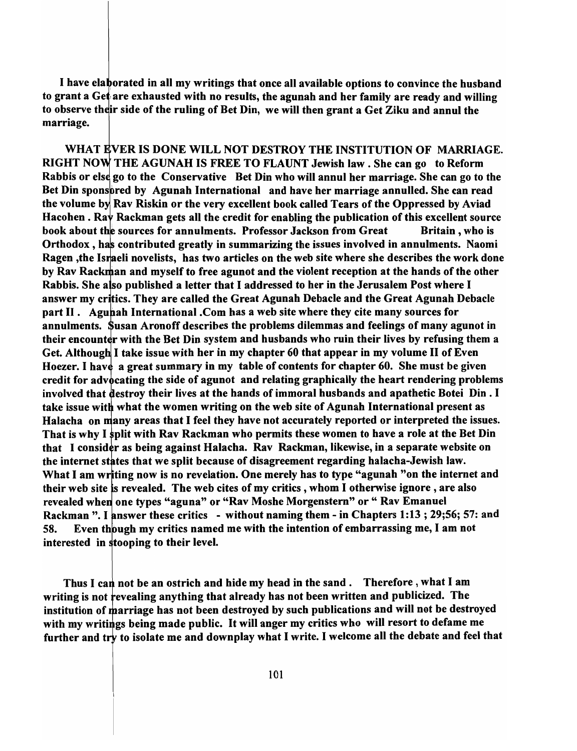I have elaborated in all my writings that once all available options to convince the husband to grant a Get are exhausted with no results, the agunah and her family are ready and willing to observe their side of the ruling of Bet Din, we will then grant a Get Ziku and annul the marriage.

WHAT EVER IS DONE WILL NOT DESTROY THE INSTITUTION OF MARRIAGE. RIGHT NOW THE AGUNAH IS FREE TO FLAUNT Jewish law . She can go to Reform Rabbis or else go to the Conservative Bet Din who will annul her marriage. She can go to the Bet Din sponsbred by Agunah International and have her marriage annulled. She can read the volume by Rav Riskin or the very excellent book called Tears of the Oppressed by Aviad Hacohen . Ray Rackman gets all the credit for enabling the publication of this excellent source book about the sources for annulments. Professor Jackson from Great Britain, who is Orthodox, has contributed greatly in summarizing the issues involved in annulments. Naomi Ragen, the Israeli novelists, has two articles on the web site where she describes the work done by Rav Rackman and myself to free agunot and the violent reception at the hands of the other Rabbis. She also published a letter that I addressed to her in the Jerusalem Post where I answer my cr tics. They are called the Great Agunah Debacle and the Great Agunah Debacle part II. Agunah International .Com has a web site where they cite many sources for annulments. Susan Aronoff describes the problems dilemmas and feelings of many agunot in their encounter with the Bet Din system and husbands who ruin their lives by refusing them a Get. Although I take issue with her in my chapter 60 that appear in my volume II of Even Hoezer. I have a great summary in my table of contents for chapter 60. She must be given credit for advocating the side of agunot and relating graphically the heart rendering problems involved that destroy their lives at the hands of immoral husbands and apathetic Botei Din. I take issue with what the women writing on the web site of Agunah International present as Halacha on many areas that I feel they have not accurately reported or interpreted the issues. That is why I split with Rav Rackman who permits these women to have a role at the Bet Din that I consider as being against Halacha. Rav Rackman, likewise, in a separate website on the internet states that we split because of disagreement regarding halacha-Jewish law. What I am writing now is no revelation. One merely has to type "agunah "on the internet and their web site is revealed. The web cites of my critics, whom I otherwise ignore, are also revealed when one types "aguna" or "Rav Moshe Morgenstern" or "Rav Emanuel Rackman ". I answer these critics - without naming them - in Chapters 1:13; 29;56; 57: and 58. Even though my critics named me with the intention of embarrassing me, I am not interested in stooping to their level.

writing is not revealing anything that already has not been written and publicized. The institution of marriage has not been destroyed by such publications and will not be destroyed with my writings being made public. It will anger my critics who will resort to defame me further and try to isolate me and downplay what I write. I welcome all the debate and feel that Thus I can not be an ostrich and hide my head in the sand. Therefore, what I am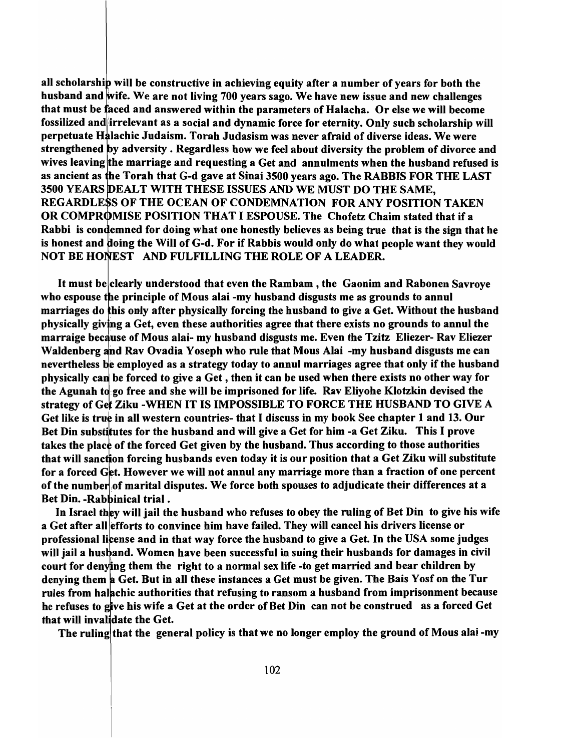all scholarship will be constructive in achieving equity after a number of years for both the husband and wife. We are not living 700 years sago. We have new issue and new challenges that must be faced and answered within the parameters of Halacha. Or else we will become fossilized and irrelevant as a social and dynamic force for eternity. Only such scholarship will perpetuate Halachic Judaism. Torah Judasism was never afraid of diverse ideas. We were strengthened by adversity. Regardless how we feel about diversity the problem of divorce and wives leaving the marriage and requesting a Get and annulments when the husband refused is as ancient as he Torah that G-d gave at Sinai 3500 years ago. The RABBIS FOR THE LAST 3500 YEARS DEALT WITH THESE ISSUES AND WE MUST DO THE SAME. REGARDLESS OF THE OCEAN OF CONDEMNATION FOR ANY POSITION TAKEN OR COMPROMISE POSITION THAT I ESPOUSE. The Chofetz Chaim stated that if a Rabbi is condemned for doing what one honestly believes as being true that is the sign that he is honest and doing the Will of G-d. For if Rabbis would only do what people want they would NOT BE HONEST AND FULFILLING THE ROLE OF A LEADER.

It must be clearly understood that even the Rambam ,the Gaonim and Rabonen Savroye who espouse the principle of Mous alai -my husband disgusts me as grounds to annul marriages do this only after physically forcing the husband to give a Get. Without the husband physically giving a Get, even these authorities agree that there exists no grounds to annul the marraige because of Mous alai- my husband disgusts me. Even the Tzitz Eliezer- Rav Eliezer Waldenberg and Rav Ovadia Yoseph who rule that Mous Alai -my husband disgusts me can nevertheless be employed as a strategy today to annul marriages agree that only if the husband physically can be forced to give a Get, then it can be used when there exists no other way for the Agunah to go free and she will be imprisoned for life. Rav Eliyohe Klotzkin devised the strategy of Get Ziku -WHEN IT IS IMPOSSIBLE TO FORCE THE HUSBAND TO GIVE A Get like is true in all western countries- that I discuss in my book See chapter 1 and 13. Our Bet Din substitutes for the husband and will give a Get for him -a Get Ziku. This I prove takes the place of the forced Get given by the husband. Thus according to those authorities that will sanction forcing husbands even today it is our position that a Get Ziku will substitute for a forced Get. However we will not annul any marriage more than a fraction of one percent of the number of marital disputes. We force both spouses to adjudicate their differences at a Bet Din. - Rabbinical trial.

In Israel they will jail the husband who refuses to obey the ruling of Bet Din to give his wife a Get after all efforts to convince him have failed. They will cancel his drivers license or professional license and in that way force the husband to give a Get. In the USA some judges will jail a husband. Women have been successful in suing their husbands for damages in civil court for denving them the right to a normal sex life -to get married and bear children by denying them a Get. But in all these instances a Get must be given. The Bais Yosf on the Tur rules from halachic authorities that refusing to ransom a husband from imprisonment because he refuses to give his wife a Get at the order of Bet Din can not be construed as a forced Get that will invalidate the Get.

The ruling that the general policy is that we no longer employ the ground of Mous alai-my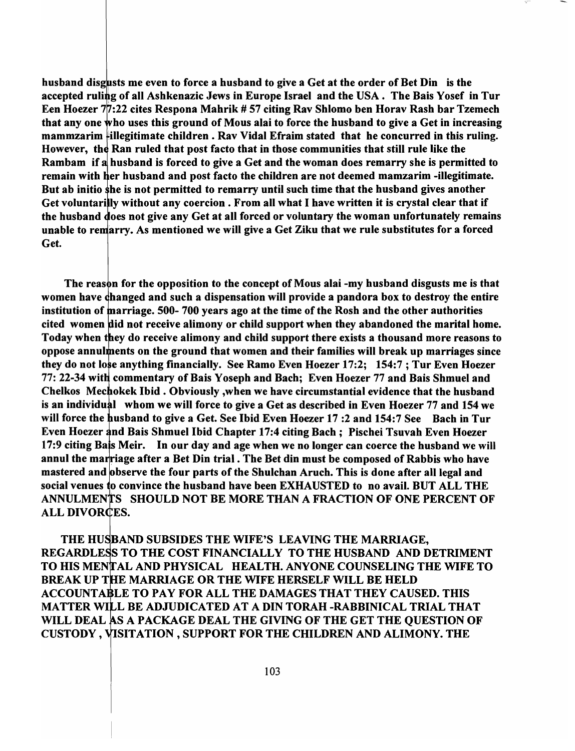husband disgusts me even to force a husband to give a Get at the order of Bet Din is the accepted ruling of all Ashkenazic Jews in Europe Israel and the USA. The Bais Yosef in Tur Een Hoezer  $7/7:22$  cites Respona Mahrik # 57 citing Rav Shlomo ben Horav Rash bar Tzemech that any one who uses this ground of Mous alai to force the husband to give a Get in increasing mammzarim illegitimate children . Rav Vidal Efraim stated that he concurred in this ruling. However, the Ran ruled that post facto that in those communities that still rule like the Rambam if a husband is forced to give a Get and the woman does remarry she is permitted to remain with her husband and post facto the children are not deemed mamzarim -illegitimate. But ab initio she is not permitted to remarry until such time that the husband gives another Get voluntarilly without any coercion. From all what I have written it is crystal clear that if the husband does not give any Get at all forced or voluntary the woman unfortunately remains unable to remarry. As mentioned we will give a Get Ziku that we rule substitutes for a forced Get.

The reason for the opposition to the concept of Mous alai -my husband disgusts me is that women have changed and such a dispensation will provide a pandora box to destroy the entire institution of marriage. 500-700 years ago at the time of the Rosh and the other authorities cited women did not receive alimony or child support when they abandoned the marital home. Today when they do receive alimony and child support there exists a thousand more reasons to oppose annulments on the ground that women and their families will break up marriages since they do not lose anything financially. See Ramo Even Hoezer 17:2; 154:7; Tur Even Hoezer 77: 22-34 with commentary of Bais Yoseph and Bach; Even Hoezer 77 and Bais Shmuel and Chelkos Mechokek Ibid. Obviously, when we have circumstantial evidence that the husband is an individual whom we will force to give a Get as described in Even Hoezer 77 and 154 we will force the husband to give a Get. See Ibid Even Hoezer 17:2 and 154:7 See Bach in Tur Even Hoezer and Bais Shmuel Ibid Chapter 17:4 citing Bach; Pischei Tsuvah Even Hoezer 17:9 citing Bais Meir. In our day and age when we no longer can coerce the husband we will annul the marriage after a Bet Din trial. The Bet din must be composed of Rabbis who have mastered and observe the four parts of the Shulchan Aruch. This is done after all legal and social venues to convince the husband have been EXHAUSTED to no avail. BUT ALL THE ANNULMENTS SHOULD NOT BE MORE THAN A FRACTION OF ONE PERCENT OF ALL DIVORCES.

THE HUSBAND SUBSIDES THE WIFE'S LEAVING THE MARRIAGE, REGARDLESS TO THE COST FINANCIALLY TO THE HUSBAND AND DETRIMENT TO HIS MENTAL AND PHYSICAL HEALTH. ANYONE COUNSELING THE WIFE TO BREAK UP THE MARRIAGE OR THE WIFE HERSELF WILL BE HELD ACCOUNTABLE TO PAY FOR ALL THE DAMAGES THAT THEY CAUSED. THIS MATTER WILL BE ADJUDICATED AT A DIN TORAH -RABBINICAL TRIAL THAT WILL DEAL AS A PACKAGE DEAL THE GIVING OF THE GET THE QUESTION OF CUSTODY, SITATION ,SUPPORT FOR THE CHILDREN AND ALIMONY. THE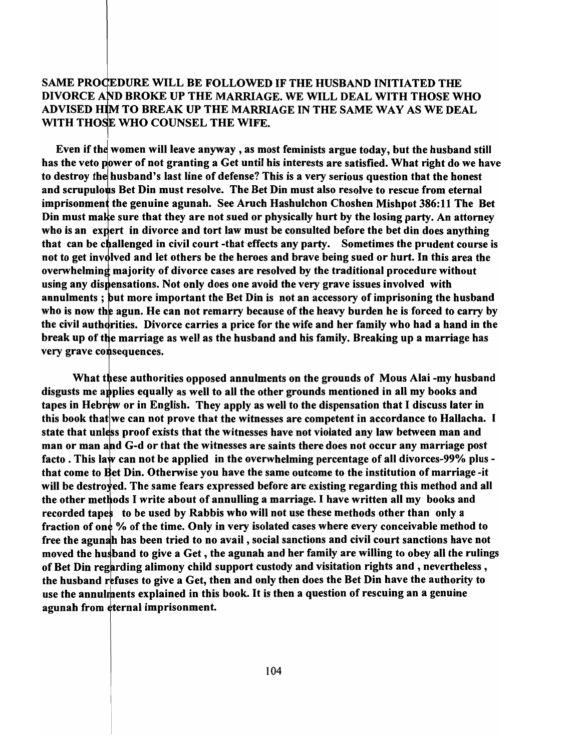### SAME PROCEDURE WILL BE FOLLOWED IF THE HUSBAND INITIATED THE DIVORCE AND BROKE UP THE MARRIAGE. WE WILL DEAL WITH THOSE WHO ADVISED HIM TO BREAK UP THE MARRIAGE IN THE SAME WAY AS WE DEAL WITH THOSE WHO COUNSEL THE WIFE.

Even if the women will leave anyway, as most feminists argue today, but the husband still has the veto power of not granting a Get until his interests are satisfied. What right do we have to destroy the husband's last line of defense? This is a very serious question that the honest and scrupulous Bet Din must resolve. The Bet Din must also resolve to rescue from eternal imprisonment the genuine agunah. See Aruch Hashulchon Choshen Mishpot 386:11 The Bet Din must make sure that they are not sued or physically hurt by the losing party. An attorney who is an expert in divorce and tort law must be consulted before the bet din does anything that can be challenged in civil court-that effects any party. Sometimes the prudent course is not to get involved and let others be the heroes and brave being sued or hurt. In this area the overwhelming majority of divorce cases are resolved by the traditional procedure without using any dispensations. Not only does one avoid the very grave issues involved with annulments; but more important the Bet Din is not an accessory of imprisoning the husband who is now the agun. He can not remarry because of the heavy burden he is forced to carry by the civil authorities. Divorce carries a price for the wife and her family who had a hand in the break up of the marriage as well as the husband and his family. Breaking up a marriage has very grave consequences.

What these authorities opposed annulments on the grounds of Mous Alai -my husband disgusts me applies equally as well to all the other grounds mentioned in all my books and tapes in Hebrew or in English. They apply as well to the dispensation that I discuss later in this book that we can not prove that the witnesses are competent in accordance to Hallacha. I state that unless proof exists that the witnesses have not violated any law between man and man or man and G-d or that the witnesses are saints there does not occur any marriage post facto. This law can not be applied in the overwhelming percentage of all divorces-99% plus that come to Bet Din. Otherwise you have the same outcome to the institution of marriage -it will be destroved. The same fears expressed before are existing regarding this method and all the other methods I write about of annulling a marriage. I have written all my books and recorded tapes to be used by Rabbis who will not use these methods other than only a fraction of one % of the time. Only in very isolated cases where every conceivable method to free the agunah has been tried to no avail, social sanctions and civil court sanctions have not moved the husband to give a Get, the agunah and her family are willing to obey all the rulings of Bet Din regarding alimony child support custody and visitation rights and, nevertheless, the husband refuses to give a Get, then and only then does the Bet Din have the authority to use the annulments explained in this book. It is then a question of rescuing an a genuine agunah from eternal imprisonment.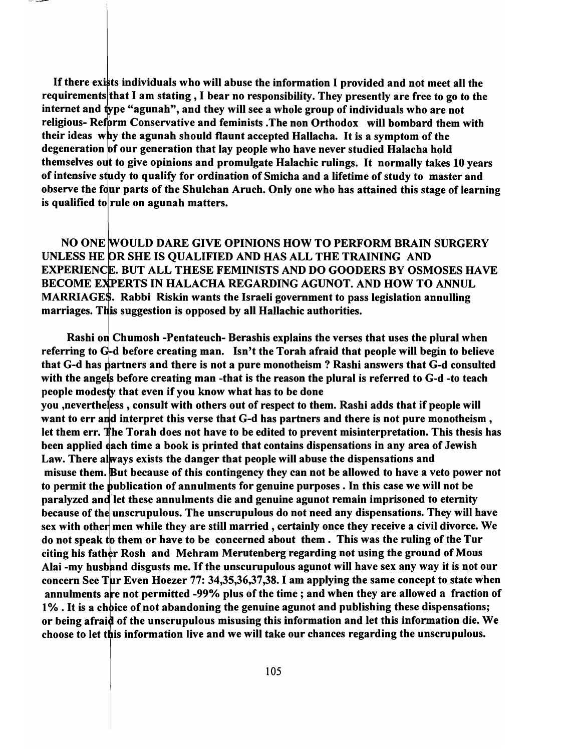If there exists individuals who will abuse the information I provided and not meet all the requirements that I am stating, I bear no responsibility. They presently are free to go to the internet and type "agunah", and they will see a whole group of individuals who are not religious- Reform Conservative and feminists .The non Orthodox will bombard them with their ideas why the agunah should flaunt accepted Hallacha. It is a symptom of the degeneration of our generation that lay people who have never studied Halacha hold themselves out to give opinions and promulgate Halachic rulings. It normally takes 10 years of intensive study to qualify for ordination of Smicha and a lifetime of study to master and observe the four parts of the Shulchan Aruch. Only one who has attained this stage of learning is qualified to rule on agunah matters.

NO ONE WOULD DARE GIVE OPINIONS HOW TO PERFORM BRAIN SURGERY UNLESS HE OR SHE IS QUALIFIED AND HAS ALL THE TRAINING AND EXPERIENCE. BUT ALL THESE FEMINISTS AND DO GOODERS BY OSMOSES HAVE BECOME EXPERTS IN HALACHA REGARDING AGUNOT. AND HOW TO ANNUL MARRIAGES. Rabbi Riskin wants the Israeli government to pass legislation annulling marriages. This suggestion is opposed by all Hallachic authorities.

Rashi on Chumosh -Pentateuch- Berashis explains the verses that uses the plural when referring to  $G<sub>r</sub>$ d before creating man. Isn't the Torah afraid that people will begin to believe that G-d has partners and there is not a pure monotheism ? Rashi answers that G-d consulted with the angels before creating man-that is the reason the plural is referred to  $G-d$ -to teach people modesty that even if you know what has to be done you ,nevertheless, consult with others out of respect to them. Rashi adds that if people will want to err and interpret this verse that G-d has partners and there is not pure monotheism, let them err. The Torah does not have to be edited to prevent misinterpretation. This thesis has been applied each time a book is printed that contains dispensations in any area of Jewish Law. There always exists the danger that people will abuse the dispensations and misuse them. But because of this contingency they can not be allowed to have a veto power not to permit the publication of annulments for genuine purposes. In this case we will not be paralyzed and let these annulments die and genuine agunot remain imprisoned to eternity because of the unscrupulous. The unscrupulous do not need any dispensations. They will have sex with other men while they are still married, certainly once they receive a civil divorce. We do not speak to them or have to be concerned about them. This was the ruling of the Tur citing his father Rosh and Mehram Merutenberg regarding not using the ground of Mous Alai -my husband disgusts me. If the unscurupulous agunot will have sex any way it is not our concern See Tur Even Hoezer 77: 34,35,36,37,38. I am applying the same concept to state when annulments are not permitted -99% plus of the time; and when they are allowed a fraction of 1%. It is a choice of not abandoning the genuine agunot and publishing these dispensations; or being afraid of the unscrupulous misusing this information and let this information die. We choose to let this information live and we will take our chances regarding the unscrupulous.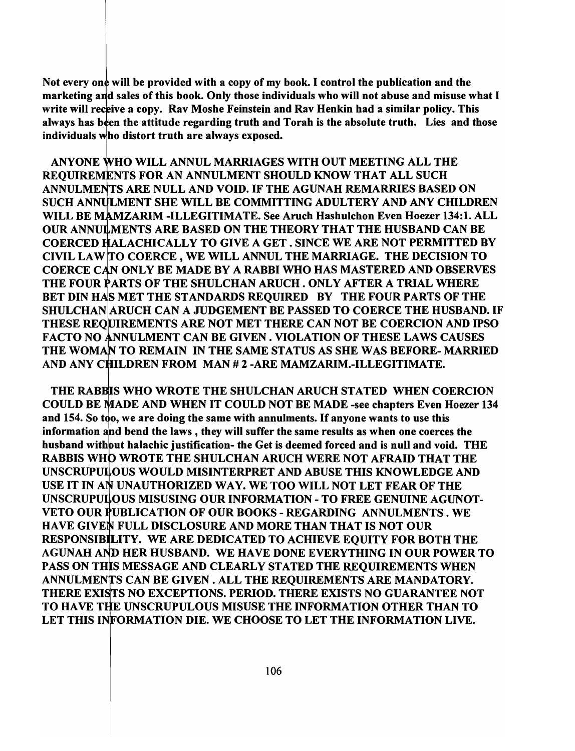Not every one will be provided with a copy of my book. I control the publication and the marketing and sales of this book. Only those individuals who will not abuse and misuse what I write will receive a copy. Rav Moshe Feinstein and Rav Henkin had a similar policy. This always has been the attitude regarding truth and Torah is the absolute truth. Lies and those individuals who distort truth are always exposed.

ANYONE WHO WILL ANNUL MARRIAGES WITH OUT MEETING ALL THE REQUIREMENTS FOR AN ANNULMENT SHOULD KNOW THAT ALL SUCH ANNULMENTS ARE NULL AND VOID. IF THE AGUNAH REMARRIES BASED ON SUCH ANNULMENT SHE WILL BE COMMITTING ADULTERY AND ANY CHILDREN WILL BE MAMZARIM -ILLEGITIMATE. See Aruch Hashulchon Even Hoezer 134:1. ALL OUR ANNUMENTS ARE BASED ON THE THEORY THAT THE HUSBAND CAN BE COERCED HALACHICALLY TO GIVE A GET. SINCE WE ARE NOT PERMITTED BY CIVIL LAW TO COERCE, WE WILL ANNUL THE MARRIAGE. THE DECISION TO COERCE CAN ONLY BE MADE BY A RABBI WHO HAS MASTERED AND OBSERVES THE FOUR PARTS OF THE SHULCHAN ARUCH . ONLY AFTER A TRIAL WHERE BET DIN HAS MET THE STANDARDS REQUIRED BY THE FOUR PARTS OF THE SHULCHAN ARUCH CAN A JUDGEMENT BE PASSED TO COERCE THE HUSBAND. IF THESE REOUIREMENTS ARE NOT MET THERE CAN NOT BE COERCION AND IPSO FACTO NO ANNULMENT CAN BE GIVEN. VIOLATION OF THESE LAWS CAUSES THE WOMAN TO REMAIN IN THE SAME STATUS AS SHE WAS BEFORE-MARRIED AND ANY CHILDREN FROM MAN # 2 - ARE MAMZARIM.-ILLEGITIMATE.

THE RABBIS WHO WROTE THE SHULCHAN ARUCH STATED WHEN COERCION COULD BE MADE AND WHEN IT COULD NOT BE MADE -see chapters Even Hoezer 134 and 154. So too, we are doing the same with annulments. If anyone wants to use this information and bend the laws, they will suffer the same results as when one coerces the husband with but halachic justification- the Get is deemed forced and is null and void. THE RABBIS WHO WROTE THE SHULCHAN ARUCH WERE NOT AFRAID THAT THE UNSCRUPULOUS WOULD MISINTERPRET AND ABUSE THIS KNOWLEDGE AND USE IT IN AN UNAUTHORIZED WAY. WE TOO WILL NOT LET FEAR OF THE UNSCRUPULOUS MISUSING OUR INFORMATION - TO FREE GENUINE AGUNOT-VETO OUR PUBLICATION OF OUR BOOKS - REGARDING ANNULMENTS. WE HAVE GIVEN FULL DISCLOSURE AND MORE THAN THAT IS NOT OUR RESPONSIBILITY. WE ARE DEDICATED TO ACHIEVE EQUITY FOR BOTH THE AGUNAH AND HER HUSBAND. WE HAVE DONE EVERYTHING IN OUR POWER TO PASS ON THIS MESSAGE AND CLEARLY STATED THE REQUIREMENTS WHEN ANNULMENTS CAN BE GIVEN. ALL THE REQUIREMENTS ARE MANDATORY. THERE EXISTS NO EXCEPTIONS. PERIOD. THERE EXISTS NO GUARANTEE NOT TO HAVE THE UNSCRUPULOUS MISUSE THE INFORMATION OTHER THAN TO LET THIS INFORMATION DIE. WE CHOOSE TO LET THE INFORMATION LIVE.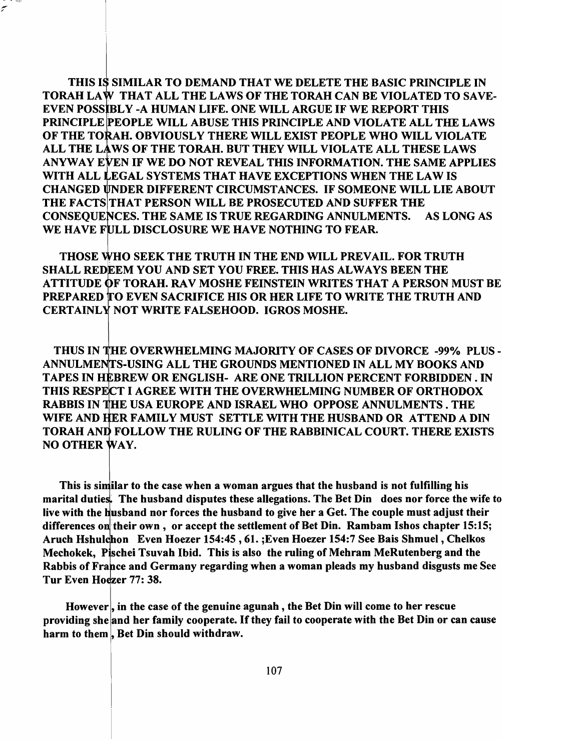THIS IS SIMILAR TO DEMAND THAT WE DELETE THE BASIC PRINCIPLE IN TORAH LAW THAT ALL THE LAWS OF THE TORAH CAN BE VIOLATED TO SAVE-EVEN POSSIBLY -A HUMAN LIFE. ONE WILL ARGUE IF WE REPORT THIS PRINCIPLE PEOPLE WILL ABUSE THIS PRINCIPLE AND VIOLATE ALL THE LAWS OF THE TORAH. OBVIOUSLY THERE WILL EXIST PEOPLE WHO WILL VIOLATE ALL THE LAWS OF THE TORAH. BUT THEY WILL VIOLATE ALL THESE LAWS ANYWAY EVEN IF WE DO NOT REVEAL THIS INFORMATION. THE SAME APPLIES WITH ALL LEGAL SYSTEMS THAT HAVE EXCEPTIONS WHEN THE LAW IS CHANGED NDER DIFFERENT CIRCUMSTANCES. IF SOMEONE WILL LIE ABOUT THE FACTS THAT PERSON WILL BE PROSECUTED AND SUFFER THE CONSEQUENCES. THE SAME IS TRUE REGARDING ANNULMENTS. AS LONG AS WE HAVE FULL DISCLOSURE WE HAVE NOTHING TO FEAR.

\* 1898  $\tilde{\mathcal{C}}$ 

> THOSE WHO SEEK THE TRUTH IN THE END WILL PREVAIL. FOR TRUTH SHALL REDEEM YOU AND SET YOU FREE. THIS HAS ALWAYS BEEN THE ATTITUDE OF TORAH. RAV MOSHE FEINSTEIN WRITES THAT A PERSON MUST BE PREPARED TO EVEN SACRIFICE HIS OR HER LIFE TO WRITE THE TRUTH AND CERTAINLY NOT WRITE FALSEHOOD. IGROS MOSHE.

> THUS IN THE OVERWHELMING MAJORITY OF CASES OF DIVORCE -99% PLUS -ANNULMENTS-USING ALL THE GROUNDS MENTIONED IN ALL MY BOOKS AND TAPES IN HEBREW OR ENGLISH- ARE ONE TRILLION PERCENT FORBIDDEN . IN THIS RESPECT I AGREE WITH THE OVERWHELMING NUMBER OF ORTHODOX RABBIS IN THE USA EUROPE AND ISRAEL WHO OPPOSE ANNULMENTS . THE WIFE AND ER FAMILY MUST SETTLE WITH THE HUSBAND OR ATTEND A DIN TORAH AND FOLLOW THE RULING OF THE RABBINICAL COURT. THERE EXISTS NO OTHER WAY.

> This is similar to the case when a woman argues that the husband is not fulfilling his marital duties. The husband disputes these allegations. The Bet Din does nor force the wife to live with the husband nor forces the husband to give her a Get. The couple must adjust their differences on their own, or accept the settlement of Bet Din. Rambam Ishos chapter 15:15; Aruch Hshulchon Even Hoezer 154:45, 61. ; Even Hoezer 154:7 See Bais Shmuel, Chelkos Mechokek, Pischei Tsuvah Ibid. This is also the ruling of Mehram MeRutenberg and the Rabbis of France and Germany regarding when a woman pleads my husband disgusts me See Tur Even Hoezer 77: 38.

However, in the case of the genuine agunah, the Bet Din will come to her rescue providing she and her family cooperate. If they fail to cooperate with the Bet Din or can cause harm to them, Bet Din should withdraw.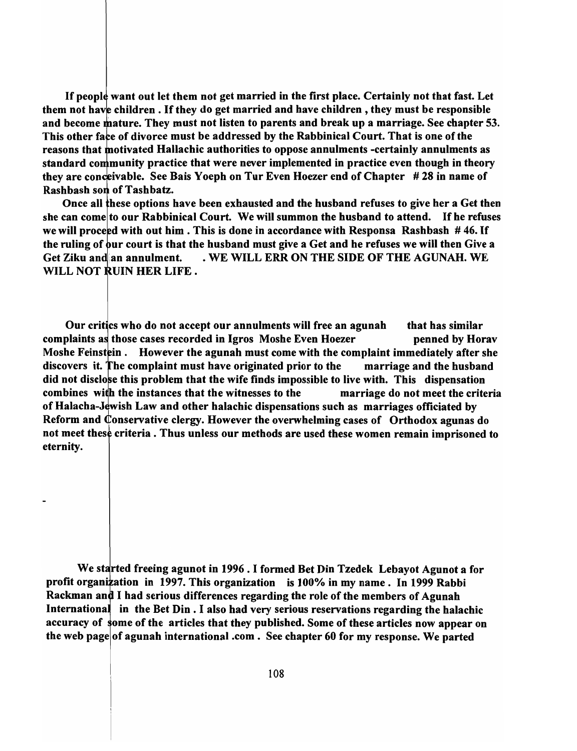If people want out let them not get married in the first place. Certainly not that fast. Let them not have children. If they do get married and have children, they must be responsible and become mature. They must not listen to parents and break up a marriage. See chapter 53. This other face of divorce must be addressed by the Rabbinical Court. That is one of the reasons that motivated Hallachic authorities to oppose annulments -certainly annulments as standard community practice that were never implemented in practice even though in theory they are conceivable. See Bais Y oeph on Tur Even Hoezer end of Chapter  $#28$  in name of Rashbash son of Tashbatz.

Once all these options have been exhausted and the husband refuses to give her a Get then she can come to our Rabbinical Court. We will summon the husband to attend. If he refuses we will proceed with out him. This is done in accordance with Responsa Rashbash  $#46$ . If the ruling of our court is that the husband must give a Get and he refuses we will then Give a Get Ziku and an annulment. . WE WILL ERR ON THE SIDE OF THE AGUNAH. WE WILL NOT RUIN HER LIFE.

Our critics who do not accept our annulments will free an agunah that has similar complaints as those cases recorded in Igros Moshe Even Hoezer penned by Horav Moshe Feinstein. However the agunah must come with the complaint immediately after she discovers it. The complaint must have originated prior to the marriage and the husband did not disclose this problem that the wife finds impossible to live with. This dispensation combines with the instances that the witnesses to the marriage do not meet the criteria of Halacha-Jewish Law and other halachic dispensations such as marriages officiated by Reform and Conservative clergy. However the overwhelming cases of Orthodox agunas do not meet these criteria. Thus unless our methods are used these women remain imprisoned to eternity.

We started freeing agunot in 1996. I formed Bet Din Tzedek Lebayot Agunot a for profit organization in 1997. This organization is 100% in my name. In 1999 Rabbi Rackman and I had serious differences regarding the role of the members of Agunah International in the Bet Din. I also had very serious reservations regarding the halachic accuracy of some of the articles that they published. Some of these articles now appear on the web page of agunah international .com. See chapter 60 for my response. We parted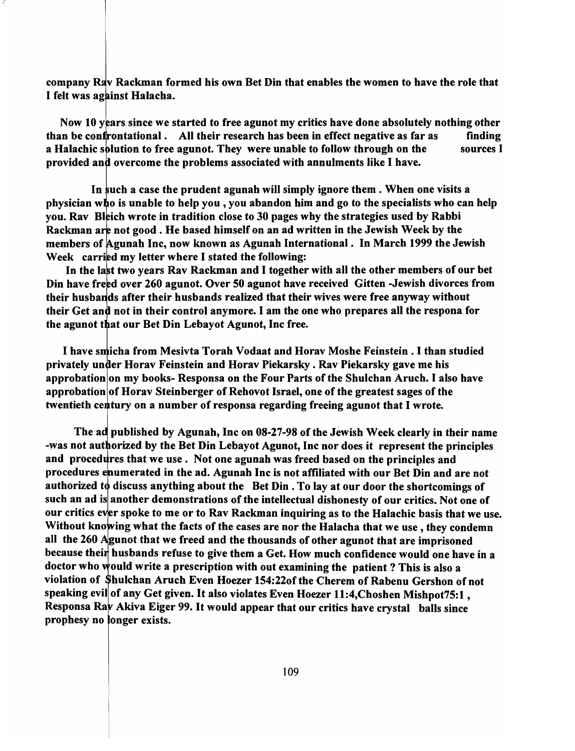company Rav Rackman formed his own Bet Din that enables the women to have the role that I felt was against Halacha.

Now 10 years since we started to free agunot my critics have done absolutely nothing other than be confrontational. All their research has been in effect negative as far as finding a Halachic splution to free agunot. They were unable to follow through on the sources I provided and overcome the problems associated with annulments like I have.

In such a case the prudent agunah will simply ignore them. When one visits a physician who is unable to help you, you abandon him and go to the specialists who can help you. Rav Bleich wrote in tradition close to 30 pages why the strategies used by Rabbi Rackman are not good. He based himself on an ad written in the Jewish Week by the members of Agunah Inc, now known as Agunah International. In March 1999 the Jewish Week carried my letter where I stated the following:

In the last two years Rav Rackman and I together with all the other members of our bet Din have freed over 260 agunot. Over 50 agunot have received Gitten -Jewish divorces from their husbands after their husbands realized that their wives were free anyway without their Get and not in their control anymore. I am the one who prepares all the respona for the agunot that our Bet Din Lebayot Agunot, Inc free.

I have smicha from Mesivta Torah Vodaat and Horav Moshe Feinstein. I than studied privately under Horav Feinstein and Horav Piekarsky . Rav Piekarsky gave me his approbation on my books-Responsa on the Four Parts of the Shulchan Aruch. I also have approbation of Horav Steinberger of Rehovot Israel, one of the greatest sages of the twentieth century on a number of responsa regarding freeing agunot that I wrote.

The ad published by Agunah, Inc on 08-27-98 of the Jewish Week clearly in their name -was not authorized by the Bet Din Lebayot Agunot, Inc nor does it represent the principles and procedures that we use. Not one agunah was freed based on the principles and procedures enumerated in the ad. Agunah Inc is not affiliated with our Bet Din and are not authorized to discuss anything about the Bet Din. To lay at our door the shortcomings of such an ad is another demonstrations of the intellectual dishonesty of our critics. Not one of our critics ever spoke to me or to Rav Rackman inquiring as to the Halachic basis that we use. Without knowing what the facts of the cases are nor the Halacha that we use, they condemn all the 260 Agunot that we freed and the thousands of other agunot that are imprisoned because their husbands refuse to give them a Get. How much confidence would one have in a doctor who would write a prescription with out examining the patient? This is also a violation of hulchan Aruch Even Hoezer 154:220f the Cherem of Rabenu Gershon of not speaking evil of any Get given. It also violates Even Hoezer 11:4, Choshen Mishpot 75:1, Responsa Rav Akiva Eiger 99. It would appear that our critics have crystal balls since prophesy no longer exists.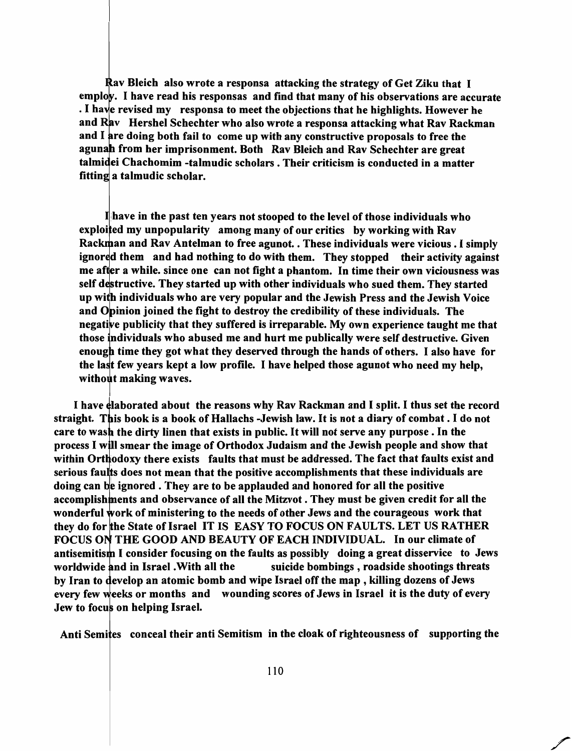av Bleich also wrote a responsa attacking the strategy of Get Ziku that I emplow. I have read his responsas and find that many of his observations are accurate . I have revised my responsa to meet the objections that he highlights. However he and  $\bf{R}$ av Hershel Schechter who also wrote a responsa attacking what  $\bf{R}$ av Rackman and I are doing both fail to come up with any constructive proposals to free the from her imprisonment. Both Rav Bleich and Rav Schechter are great ei Chachomim -talmudic scholars. Their criticism is conducted in a matter fitting a talmudic scholar.

ihave in the past ten years not stooped to the level of those individuals who exploited my unpopularity among many of our critics by working with Ray Rackman and Rav Antelman to free agunot. . These individuals were vicious . I simply ignored them and had nothing to do with them. They stopped their activity against me after a while. since one can not fight a phantom. In time their own viciousness was self destructive. They started up with other individuals who sued them. They started up with individuals who are very popular and the Jewish Press and the Jewish Voice and Opinion joined the fight to destroy the credibility of these individuals. The negative publicity that they suffered is irreparable. My own experience taught me that those individuals who abused me and hurt me publically were self destructive. Given enough time they got what they deserved through the hands of others. I also have for the last few years kept a low profile. I have helped those agunot who need my help, without making waves.

I have elaborated about the reasons why Rav Rackman and I split. I thus set the record straight. This book is a book of Hallachs -Jewish law. It is not a diary of combat. I do not care to wash the dirty linen that exists in public. It will not serve any purpose. In the process I will smear the image of Orthodox Judaism and the Jewish people and show that within Orthodoxy there exists faults that must be addressed. The fact that faults exist and serious faults does not mean that the positive accomplishments that these individuals are doing can be ignored . They are to be applauded and honored for all the positive accomplishments and observance of all the Mitzvot. They must be given credit for all the wonderful work of ministering to the needs of other Jews and the courageous work that they do for the State of Israel IT IS EASY TO FOCUS ON FAULTS. LET US RATHER FOCUS ON THE GOOD AND BEAUTY OF EACH INDIVIDUAL. In our climate of antisemitism I consider focusing on the faults as possibly doing a great disservice to Jews worldwide and in Israel. With all the suicide bombings, roadside shootings threats by Iran to develop an atomic bomb and wipe Israel off the map, killing dozens of Jews every few weeks or months and wounding scores of Jews in Israel it is the duty of every Jew to focus on helping Israel.

Anti Semites conceal their anti Semitism in the cloak of righteousness of supporting the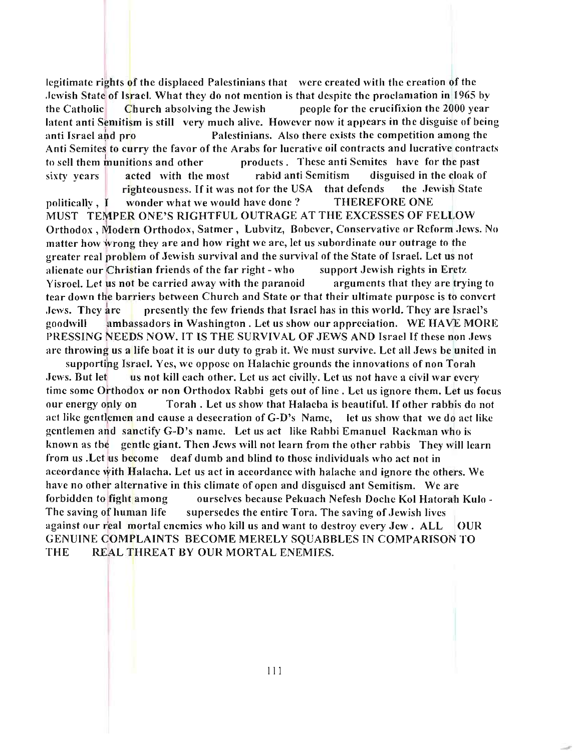legitimate rights of the displaced Palestinians that were created with the creation of the Jewish State of Israel. What they do not mention is that despite the proclamation in 1965 by the Catholic Church absolving the Jewish people for the crucifixion the 2000 year latent anti Semitism is still very much alive. However now it appears in the disguise of being anti Israel and pro Palestinians. Also there exists the competition among the Anti Semites to curry the favor of the Arabs for lucrative oil contracts and lucrative contracts to sell them munitions and other products. These anti Semites have for the past sixty years acted with the most rabid anti Semitism disguised in the cloak of righteousness. If it was not for the USA that defends the Jewish State politically, I wonder what we would have done ? THEREFORE ONE MUST TEMPER ONE'S RIGHTFUL OUTRAGE AT THE EXCESSES OF FELLOW Orthodox, Modern Orthodox, Satmer, Lubvitz, Bobever, Conservative or Reform Jews. No matter how wrong they are and how right we are, let us subordinate our outrage to the greater real problem of Jewish survival and the survival of the State of Israel. Let us not alienate our Christian friends of the far right - who support Jewish rights in Eretz Yisroel. Let us not be carried away with the paranoid arguments that they are trying to tear down the barriers between Church and State or that their ultimate purpose is to convert Jews. They are presently the few friends that Israel has in this world. They are Israel's goodwill ambassadors in Washington. Let us show our appreciation. WE HAVE MORE PRESSING NEEDS NOW. **IT** IS THE SURVIVAL OF JEWS AND Israel If these non Jews arc throwing us a life boat it is our duty to grab it. We must survive. Let all Jews be united in

supporting Israel. Yes, we oppose on Halachic grounds the innovations of non Torah Jews. But let us not kill each other. Let us act civilly. Let us not have a civil war every time some Orthodox or non Orthodox Rabbi gets out of line. Let us ignore them. Let us focus our energy only on Torah. Let us show that Halacha is beautiful. **If** other rabbis do not act like gentlemen and cause a desecration of G-D's Name, let us show that we do act like gentlemen and sanctify G-D's name. Let us act like Rabbi Emanuel Rackman who is known as the gentle giant. Then Jews will not learn from the other rabbis They will learn from us . Let us become deaf dumb and blind to those individuals who act not in accordance with Halacha. Let us act in accordance with halache and ignore the others. We have no other alternative in this climate of open and disguised ant Semitism. We arc forbidden to fight among ourselves because Pekuach Nefesh Doche Kol Hatorah Kulo -The saving of human life supersedes the entire Tora. The saving of Jewish lives against our real mortal enemies who kill us and want to destroy every  $Jew$ . ALL  $\overline{OUR}$ GENUINE OOMPLAINTS BECOME MERELY SQUABBLES IN COMPARISON TO THE REAL THREAT BY OUR MORTAL ENEMIES.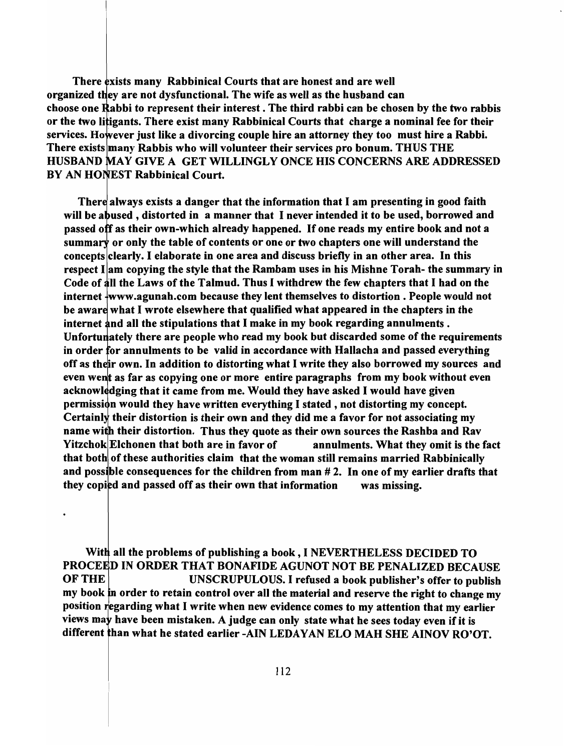There exists many Rabbinical Courts that are honest and are well organized they are not dysfunctional. The wife as well as the husband can choose one Rabbi to represent their interest. The third rabbi can be chosen by the two rabbis or the two litigants. There exist many Rabbinical Courts that charge a nominal fee for their services. However just like a divorcing couple hire an attorney they too must hire a Rabbi. There exists many Rabbis who will volunteer their services pro bonum. THUS THE HUSBAND MAY GIVE A GET WILLINGLY ONCE HIS CONCERNS ARE ADDRESSED BY AN HONEST Rabbinical Court.

There always exists a danger that the information that I am presenting in good faith will be abused, distorted in a manner that I never intended it to be used, borrowed and passed off as their own-which already happened. If one reads my entire book and not a summary or only the table of contents or one or two chapters one will understand the concepts clearly. I elaborate in one area and discuss briefly in an other area. In this respect  $I$  am copying the style that the Rambam uses in his Mishne Torah- the summary in Code of all the Laws of the Talmud. Thus I withdrew the few chapters that I had on the internet www.agunah.com because they lent themselves to distortion. People would not be aware what I wrote elsewhere that qualified what appeared in the chapters in the internet and all the stipulations that I make in my book regarding annulments. Unfortunately there are people who read my book but discarded some of the requirements in order for annulments to be valid in accordance with Hallacha and passed everything off as their own. In addition to distorting what I write they also borrowed my sources and even went as far as copying one or more entire paragraphs from my book without even acknowledging that it came from me. Would they have asked I would have given permission would they have written everything I stated, not distorting my concept. Certainly their distortion is their own and they did me a favor for not associating my name with their distortion. Thus they quote as their own sources the Rashba and Rav Yitzchok Elchonen that both are in favor of annulments. What they omit is the fact that both of these authorities claim that the woman still remains married Rabbinically and possible consequences for the children from man  $# 2$ . In one of my earlier drafts that they copied and passed off as their own that information was missing.

With all the problems of publishing a book, I NEVERTHELESS DECIDED TO PROCEED IN ORDER THAT BONAFIDE AGUNOT NOT BE PENALIZED BECAUSE OF THE UNSCRUPULOUS. I refused a book publisher's offer to publish my book in order to retain control over all the material and reserve the right to change my position regarding what I write when new evidence comes to my attention that my earlier views may have been mistaken. A judge can only state what he sees today even if it is different than what he stated earlier -AIN LEDAYAN ELO MAH SHE AINOV RO'OT.

 $\ddot{\phantom{0}}$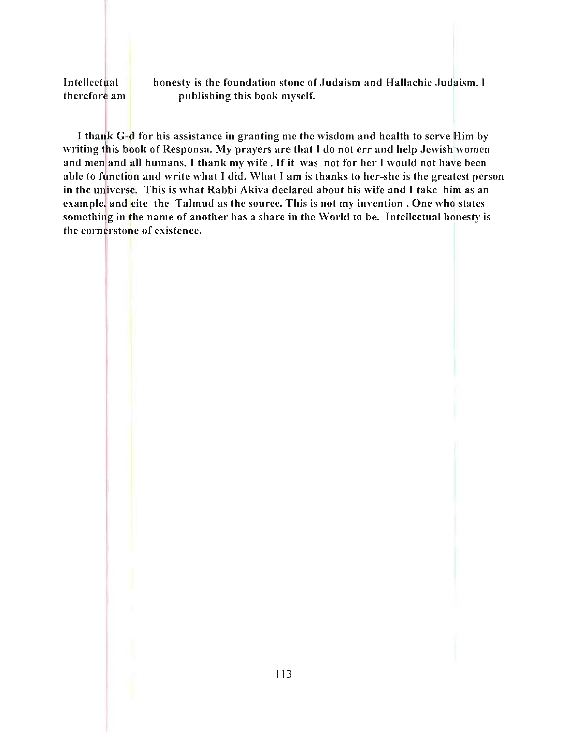#### Intellectual therefore am

honesty is the foundation stone of Judaism and Hallachic Judaism. I publishing this book myself.

I thank G-d for his assistance in granting me the wisdom and health to serve Him by writing this book of Responsa. My prayers are that I do not err and help Jewish women and men and all humans. I thank my wife. If it was not for her I would not have been able to function and write what I did. What I am is thanks to her-she is the greatest person in the universe. This is what Rabbi Akiva declared about his wife and I take him as an example. and cite the Talmud as the source. This is not my invention. One who states something in the name of another has a share in the World to be. Intellectual honesty is the cornerstone of existence.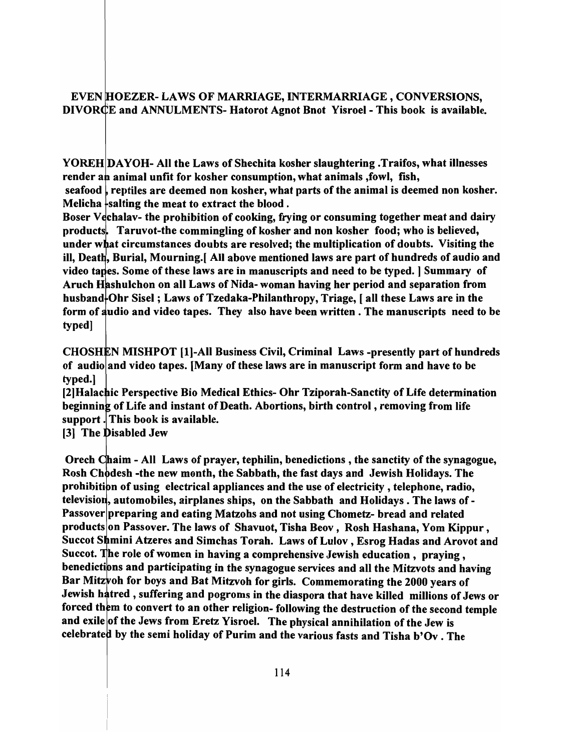#### EVEN HOEZER- LAWS OF MARRIAGE, INTERMARRIAGE, CONVERSIONS, DIVORCE and ANNULMENTS- Hatorot Agnot Bnot Yisroel - This book is available.

YOREH DAYOH- All the Laws of Shechita kosher slaughtering .Traifos, what illnesses render an animal unfit for kosher consumption, what animals , fowl, fish,

seafood  $\iota$  reptiles are deemed non kosher, what parts of the animal is deemed non kosher. Melicha  $\frac{1}{2}$  salting the meat to extract the blood.

Boser V chalav- the prohibition of cooking, frying or consuming together meat and dairy products. Taruvot-the commingling of kosher and non kosher food; who is believed, under what circumstances doubts are resolved; the multiplication of doubts. Visiting the ill, Death, Burial, Mourning. [All above mentioned laws are part of hundreds of audio and video tapes. Some of these laws are in manuscripts and need to be typed. | Summary of Aruch Hashulchon on all Laws of Nida- woman having her period and separation from husband-Ohr Sisel; Laws of Tzedaka-Philanthropy, Triage, [all these Laws are in the form of audio and video tapes. They also have been written. The manuscripts need to be typed]

CHOSHEN MISHPOT [1]-All Business Civil, Criminal Laws -presently part of hundreds of audio and video tapes. [Many of these laws are in manuscript form and have to be typed.]

[2] Halachic Perspective Bio Medical Ethics- Ohr Tziporah-Sanctity of Life determination beginning of Life and instant of Death. Abortions, birth control, removing from life support. This book is available.

[3] The Disabled Jew

Orech Chaim - All Laws of prayer, tephilin, benedictions, the sanctity of the synagogue, Rosh Chodesh -the new month, the Sabbath, the fast days and Jewish Holidays. The prohibition of using electrical appliances and the use of electricity, telephone, radio, television, automobiles, airplanes ships, on the Sabbath and Holidays. The laws of -Passover preparing and eating Matzohs and not using Chometz- bread and related products on Passover. The laws of Shavuot, Tisha Beov, Rosh Hashana, Yom Kippur, Succot Shmini Atzeres and Simchas Torah. Laws of Lulov, Esrog Hadas and Arovot and Succot. The role of women in having a comprehensive Jewish education, praying, benedictions and participating in the synagogue services and all the Mitzvots and having Bar Mitzvoh for boys and Bat Mitzvoh for girls. Commemorating the 2000 years of Jewish hatred, suffering and pogroms in the diaspora that have killed millions of Jews or forced them to convert to an other religion- following the destruction of the second temple and exile of the Jews from Eretz Yisroel. The physical annihilation of the Jew is celebrated by the semi holiday of Purim and the various fasts and Tisha b'Ov. The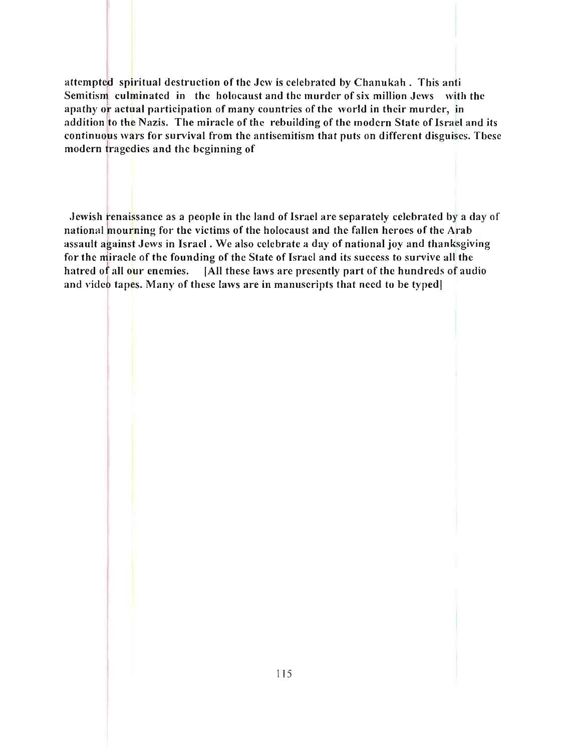attempted spiritual destruction of the Jew is celehrated by Chanukah. This anti Semitism culminated in the holocaust and the murder of six million Jews with the apathy 0 1 actual participation of many countries of the world in their murder, in addition to the Nazis. The miracle of the rebuilding of the modern State of Israel and its continuous wars for survival from the antisemitism that puts on different disguises. These modern tragedies and the beginning of

Jewish renaissance as a people in the land of Israel are separately celebrated by a day of national mourning for the victims of the holocaust and the fallen heroes of the Arab assault against Jews in Israel. We also celebrate a day of national joy and thanksgiving for the miracle of the founding of the State of Israel and its success to survive all the hatred of all our enemies. [All these laws are presently part of the hundreds of audio and video tapes. Many of these laws are in manuscripts that need to be typed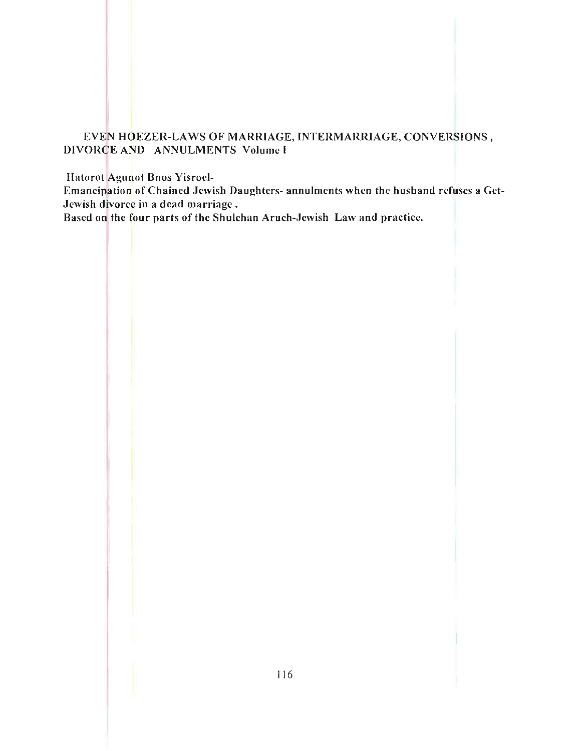## EVEN HOEZER-LAWS OF MARRIAGE, INTERMARRIAGE, CONVERSIONS, DIVORCE AND ANNULMENTS Volume I

Hatorot Agunot Bnos Yisroel-

Emancipation of Chained Jewish Daughters- annulments when the husband refuses a Gct-Jewish divorce in a dead marriage.

Based on the four parts of the Shulchan Aruch-Jewish Law and practice.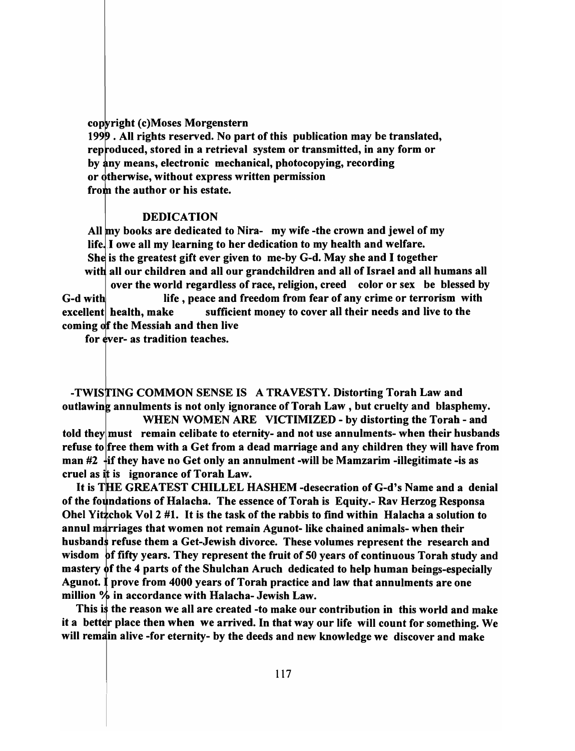cop right (c) Moses Morgenstern

1999. All rights reserved. No part of this publication may be translated, reproduced, stored in a retrieval system or transmitted, in any form or by any means, electronic mechanical, photocopying, recording or otherwise, without express written permission from the author or his estate.

#### DEDICATION

All my books are dedicated to Nira- my wife -the crown and jewel of my life. I owe all my learning to her dedication to my health and welfare. She is the greatest gift ever given to me-by G-d. May she and I together all our children and all our grandchildren and all of Israel and all humans all over the world regardless of race, religion, creed color or sex be blessed by

G-d with life, peace and freedom from fear of any crime or terrorism with excellent health, make sufficient money to cover all their needs and live to the coming of the Messiah and then live

for ever- as tradition teaches.

-TWISTING COMMON SENSE IS A TRAVESTY. Distorting Torah Law and outlawing annulments is not only ignorance of Torah Law, but cruelty and blasphemy.

WHEN WOMEN ARE VICTIMIZED - by distorting the Torah - and told they must remain celibate to eternity- and not use annulments- when their husbands refuse to free them with a Get from a dead marriage and any children they will have from man  $#2$   $+$ if they have no Get only an annulment -will be Mamzarim -illegitimate -is as cruel as it is ignorance of Torah Law.

It is THE GREATEST CHILLEL HASHEM -desecration of G-d's Name and a denial of the foundations of Halacha. The essence of Torah is Equity.- Rav Herzog Responsa Ohel Yitzchok Vol 2  $#1$ . It is the task of the rabbis to find within Halacha a solution to annul marriages that women not remain Agunot- like chained animals- when their husbands refuse them a Get-Jewish divorce. These volumes represent the research and wisdom  $\beta$  fifty years. They represent the fruit of 50 years of continuous Torah study and mastery of the 4 parts of the Shulchan Aruch dedicated to help human beings-especially Agunot.  $\ddagger$  prove from 4000 years of Torah practice and law that annulments are one million  $%$  in accordance with Halacha- Jewish Law.

This is the reason we all are created -to make our contribution in this world and make it a better place then when we arrived. In that way our life will count for something. We will remain alive -for eternity- by the deeds and new knowledge we discover and make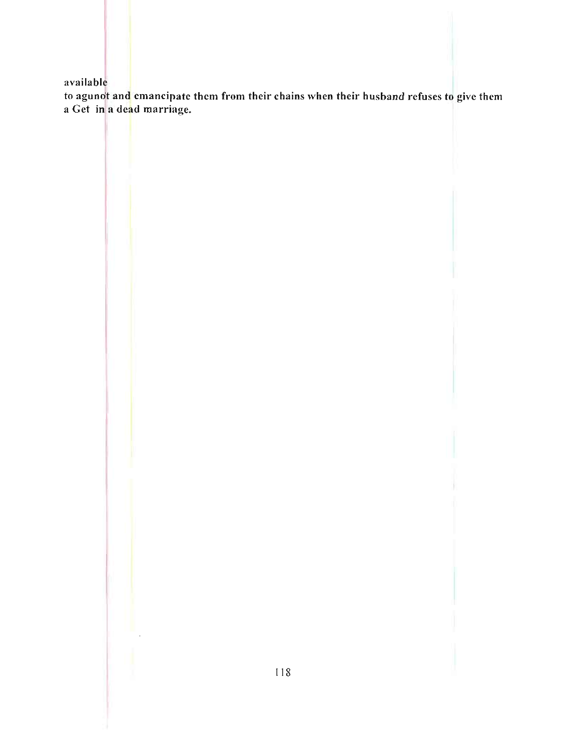available

to agunot and emancipate them from their chains when their husband refuses to give them a Get in a dead marriage.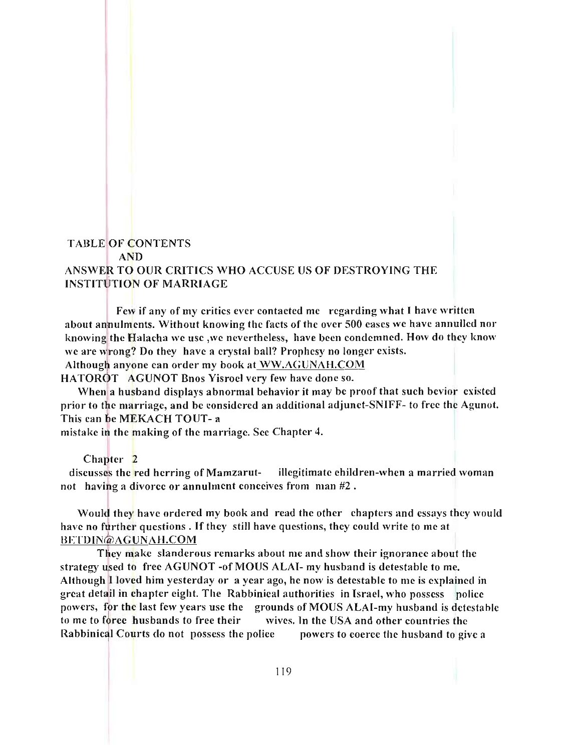# TABLE OF CONTENTS AND ANSWER TO OUR CRITICS WHO ACCUSE US OF DESTROYING THE INSTITUTION OF MARRIAGE

Few if any of my critics ever contacted me regarding what I have written about annulments. Without knowing the facts of the over 500 cases we have annulled nor knowing the Halacha we use ,we nevertheless, have been condemned. How do they know we are wrong? Do they have a crystal ball? Prophesy no longer exists.

Although anyone can order my book at WW.AGUNAH.COM

HATOROT AGUNOT Bnos Yisroel very few have done so.

When a husband displays abnormal behavior it may be proof that such bevior existed prior to the marriage, and be considered an additional adjunct-SNIFF- to free the Agunot. This can be MEKACH TOUT- a

mistake in the making of the marriage. See Chapter 4.

Chapter 2

discusses the red herring of Mamzarut- illegitimate children-when a married woman not having a divorce or annulment conceives from  $\text{man } \#2$ .

Would they have ordered my book and read the other chapters and essays they would have no further questions. If they still have questions, they could write to me at BETDIN@AGUNAH.COM

They make slanderous remarks about me and show their ignorance about the strategy used to free AGUNOT -of MOUS ALAI- my husband is detestable to me. Although I loved him yesterday or a year ago, he now is detestable to me is explained in great detail in chapter eight. The Rabbinical authorities in Israel, who possess police powers, for the last few years use the grounds of MOUS ALAI-my husband is detestable to me to force husbands to free their' wives. In the USA and other countries the Rabbinical Courts do not possess the police powers to coerce the husband to give a